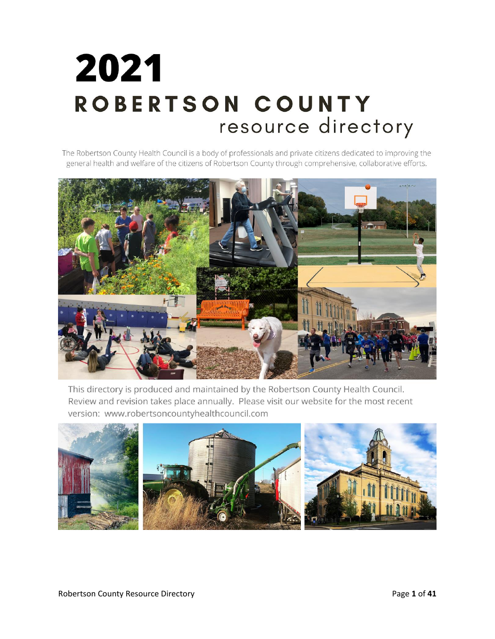# 2021 ROBERTSON COUNTY resource directory

The Robertson County Health Council is a body of professionals and private citizens dedicated to improving the general health and welfare of the citizens of Robertson County through comprehensive, collaborative efforts.



This directory is produced and maintained by the Robertson County Health Council. Review and revision takes place annually. Please visit our website for the most recent version: www.robertsoncountyhealthcouncil.com

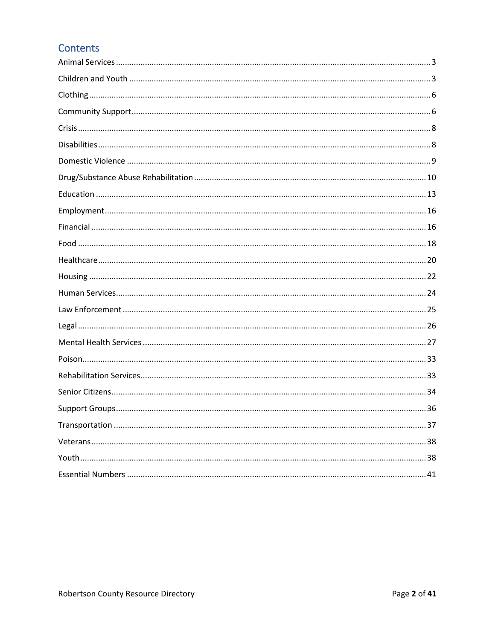### **Contents**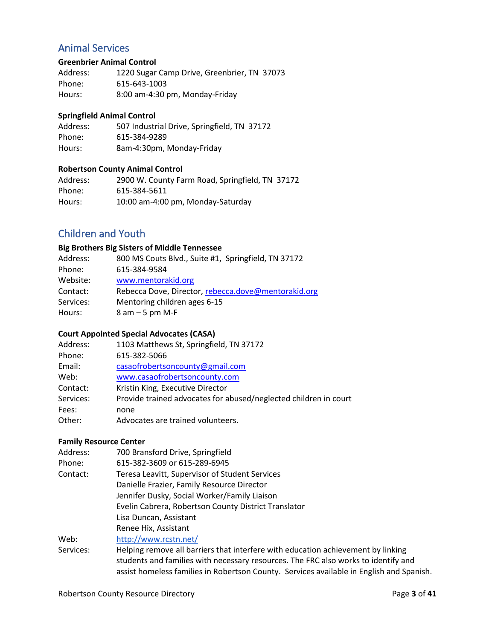### <span id="page-2-0"></span>Animal Services

#### **Greenbrier Animal Control**

| Address: | 1220 Sugar Camp Drive, Greenbrier, TN 37073 |
|----------|---------------------------------------------|
| Phone:   | 615-643-1003                                |
| Hours:   | 8:00 am-4:30 pm, Monday-Friday              |

#### **Springfield Animal Control**

| Address: | 507 Industrial Drive, Springfield, TN 37172 |
|----------|---------------------------------------------|
| Phone:   | 615-384-9289                                |
| Hours:   | 8am-4:30pm, Monday-Friday                   |

#### **Robertson County Animal Control**

| Address: | 2900 W. County Farm Road, Springfield, TN 37172 |
|----------|-------------------------------------------------|
| Phone:   | 615-384-5611                                    |
| Hours:   | 10:00 am-4:00 pm, Monday-Saturday               |

### <span id="page-2-1"></span>Children and Youth

#### **Big Brothers Big Sisters of Middle Tennessee**

| Address:  | 800 MS Couts Blvd., Suite #1, Springfield, TN 37172 |
|-----------|-----------------------------------------------------|
| Phone:    | 615-384-9584                                        |
| Website:  | www.mentorakid.org                                  |
| Contact:  | Rebecca Dove, Director, rebecca.dove@mentorakid.org |
| Services: | Mentoring children ages 6-15                        |
| Hours:    | $8$ am $-5$ pm M-F                                  |

### **Court Appointed Special Advocates (CASA)**

| Address:  | 1103 Matthews St, Springfield, TN 37172                          |
|-----------|------------------------------------------------------------------|
| Phone:    | 615-382-5066                                                     |
| Email:    | casaofrobertsoncounty@gmail.com                                  |
| Web:      | www.casaofrobertsoncounty.com                                    |
| Contact:  | Kristin King, Executive Director                                 |
| Services: | Provide trained advocates for abused/neglected children in court |
| Fees:     | none                                                             |
| Other:    | Advocates are trained volunteers.                                |

#### **Family Resource Center**

| Address:  | 700 Bransford Drive, Springfield                                                         |  |
|-----------|------------------------------------------------------------------------------------------|--|
| Phone:    | 615-382-3609 or 615-289-6945                                                             |  |
| Contact:  | Teresa Leavitt, Supervisor of Student Services                                           |  |
|           | Danielle Frazier, Family Resource Director                                               |  |
|           | Jennifer Dusky, Social Worker/Family Liaison                                             |  |
|           | Evelin Cabrera, Robertson County District Translator                                     |  |
|           | Lisa Duncan, Assistant                                                                   |  |
|           | Renee Hix, Assistant                                                                     |  |
| Web:      | http://www.rcstn.net/                                                                    |  |
| Services: | Helping remove all barriers that interfere with education achievement by linking         |  |
|           | students and families with necessary resources. The FRC also works to identify and       |  |
|           | assist homeless families in Robertson County. Services available in English and Spanish. |  |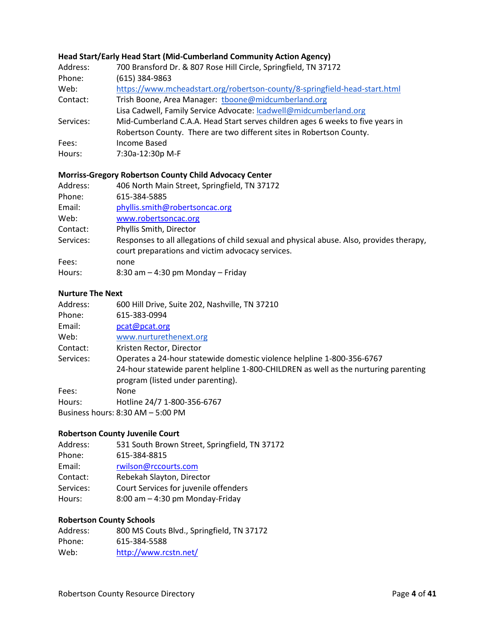#### **Head Start/Early Head Start (Mid-Cumberland Community Action Agency)**

| Address:  | 700 Bransford Dr. & 807 Rose Hill Circle, Springfield, TN 37172                |
|-----------|--------------------------------------------------------------------------------|
| Phone:    | $(615)$ 384-9863                                                               |
| Web:      | https://www.mcheadstart.org/robertson-county/8-springfield-head-start.html     |
| Contact:  | Trish Boone, Area Manager: tboone@midcumberland.org                            |
|           | Lisa Cadwell, Family Service Advocate: Icadwell@midcumberland.org              |
| Services: | Mid-Cumberland C.A.A. Head Start serves children ages 6 weeks to five years in |
|           | Robertson County. There are two different sites in Robertson County.           |
| Fees:     | Income Based                                                                   |
| Hours:    | 7:30a-12:30p M-F                                                               |

#### **Morriss-Gregory Robertson County Child Advocacy Center**

| Address:  | 406 North Main Street, Springfield, TN 37172                                                                                                 |
|-----------|----------------------------------------------------------------------------------------------------------------------------------------------|
| Phone:    | 615-384-5885                                                                                                                                 |
| Email:    | phyllis.smith@robertsoncac.org                                                                                                               |
| Web:      | www.robertsoncac.org                                                                                                                         |
| Contact:  | Phyllis Smith, Director                                                                                                                      |
| Services: | Responses to all allegations of child sexual and physical abuse. Also, provides therapy,<br>court preparations and victim advocacy services. |
| Fees:     | none                                                                                                                                         |
| Hours:    | $8:30$ am $-4:30$ pm Monday $-$ Friday                                                                                                       |

### **Nurture The Next**

| Address:  | 600 Hill Drive, Suite 202, Nashville, TN 37210                                      |
|-----------|-------------------------------------------------------------------------------------|
| Phone:    | 615-383-0994                                                                        |
| Email:    | pcat@pcat.org                                                                       |
| Web:      | www.nurturethenext.org                                                              |
| Contact:  | Kristen Rector, Director                                                            |
| Services: | Operates a 24-hour statewide domestic violence helpline 1-800-356-6767              |
|           | 24-hour statewide parent helpline 1-800-CHILDREN as well as the nurturing parenting |
|           | program (listed under parenting).                                                   |
| Fees:     | None                                                                                |
| Hours:    | Hotline 24/7 1-800-356-6767                                                         |
|           | Business hours: 8:30 AM - 5:00 PM                                                   |

### **Robertson County Juvenile Court**

| 531 South Brown Street, Springfield, TN 37172 |
|-----------------------------------------------|
|                                               |
|                                               |
|                                               |
|                                               |
|                                               |
|                                               |

#### **Robertson County Schools**

| Address: | 800 MS Couts Blvd., Springfield, TN 37172 |
|----------|-------------------------------------------|
| Phone:   | 615-384-5588                              |
| Web:     | http://www.rcstn.net/                     |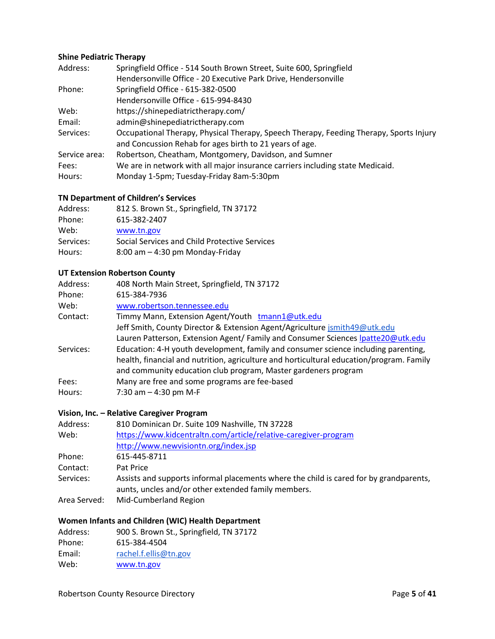#### **Shine Pediatric Therapy**

| Address:      | Springfield Office - 514 South Brown Street, Suite 600, Springfield                                                                               |
|---------------|---------------------------------------------------------------------------------------------------------------------------------------------------|
|               | Hendersonville Office - 20 Executive Park Drive, Hendersonville                                                                                   |
| Phone:        | Springfield Office - 615-382-0500                                                                                                                 |
|               | Hendersonville Office - 615-994-8430                                                                                                              |
| Web:          | https://shinepediatrictherapy.com/                                                                                                                |
| Email:        | admin@shinepediatrictherapy.com                                                                                                                   |
| Services:     | Occupational Therapy, Physical Therapy, Speech Therapy, Feeding Therapy, Sports Injury<br>and Concussion Rehab for ages birth to 21 years of age. |
| Service area: | Robertson, Cheatham, Montgomery, Davidson, and Sumner                                                                                             |
| Fees:         | We are in network with all major insurance carriers including state Medicaid.                                                                     |
| Hours:        | Monday 1-5pm; Tuesday-Friday 8am-5:30pm                                                                                                           |

#### **TN Department of Children's Services**

| Address:  | 812 S. Brown St., Springfield, TN 37172       |
|-----------|-----------------------------------------------|
| Phone:    | 615-382-2407                                  |
| Web:      | www.tn.gov                                    |
| Services: | Social Services and Child Protective Services |
| Hours:    | $8:00$ am $-4:30$ pm Monday-Friday            |

#### **UT Extension Robertson County**

| Address:  | 408 North Main Street, Springfield, TN 37172                                             |
|-----------|------------------------------------------------------------------------------------------|
| Phone:    | 615-384-7936                                                                             |
| Web:      | www.robertson.tennessee.edu                                                              |
| Contact:  | Timmy Mann, Extension Agent/Youth tmann1@utk.edu                                         |
|           | Jeff Smith, County Director & Extension Agent/Agriculture jsmith49@utk.edu               |
|           | Lauren Patterson, Extension Agent/ Family and Consumer Sciences Ipatte20@utk.edu         |
| Services: | Education: 4-H youth development, family and consumer science including parenting,       |
|           | health, financial and nutrition, agriculture and horticultural education/program. Family |
|           | and community education club program, Master gardeners program                           |
| Fees:     | Many are free and some programs are fee-based                                            |
| Hours:    | 7:30 am $-$ 4:30 pm M-F                                                                  |

### **Vision, Inc. – Relative Caregiver Program**

| Address:     | 810 Dominican Dr. Suite 109 Nashville, TN 37228                                                                                               |
|--------------|-----------------------------------------------------------------------------------------------------------------------------------------------|
| Web:         | https://www.kidcentraltn.com/article/relative-caregiver-program                                                                               |
|              | http://www.newvisiontn.org/index.jsp                                                                                                          |
| Phone:       | 615-445-8711                                                                                                                                  |
| Contact:     | Pat Price                                                                                                                                     |
| Services:    | Assists and supports informal placements where the child is cared for by grandparents,<br>aunts, uncles and/or other extended family members. |
| Area Served: | Mid-Cumberland Region                                                                                                                         |

### **Women Infants and Children (WIC) Health Department**

| 900 S. Brown St., Springfield, TN 37172 |
|-----------------------------------------|
| 615-384-4504                            |
| rachel.f.ellis@tn.gov                   |
| www.tn.gov                              |
|                                         |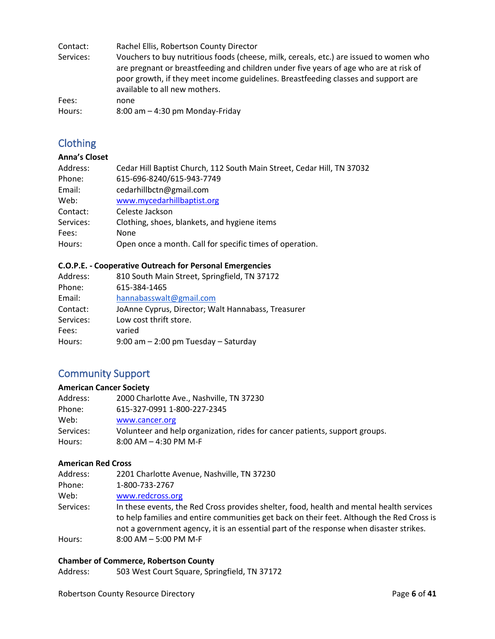| Contact:  | Rachel Ellis, Robertson County Director                                                                                                                                                                                                                                                                |
|-----------|--------------------------------------------------------------------------------------------------------------------------------------------------------------------------------------------------------------------------------------------------------------------------------------------------------|
| Services: | Vouchers to buy nutritious foods (cheese, milk, cereals, etc.) are issued to women who<br>are pregnant or breastfeeding and children under five years of age who are at risk of<br>poor growth, if they meet income guidelines. Breastfeeding classes and support are<br>available to all new mothers. |
| Fees:     | none                                                                                                                                                                                                                                                                                                   |
| Hours:    | $8:00$ am $-4:30$ pm Monday-Friday                                                                                                                                                                                                                                                                     |

### <span id="page-5-0"></span>**Clothing**

### **Anna's Closet**

| Address:  | Cedar Hill Baptist Church, 112 South Main Street, Cedar Hill, TN 37032 |
|-----------|------------------------------------------------------------------------|
| Phone:    | 615-696-8240/615-943-7749                                              |
| Email:    | cedarhillbctn@gmail.com                                                |
| Web:      | www.mycedarhillbaptist.org                                             |
| Contact:  | Celeste Jackson                                                        |
| Services: | Clothing, shoes, blankets, and hygiene items                           |
| Fees:     | <b>None</b>                                                            |
| Hours:    | Open once a month. Call for specific times of operation.               |

### **C.O.P.E. - Cooperative Outreach for Personal Emergencies**

| 810 South Main Street, Springfield, TN 37172       |
|----------------------------------------------------|
| 615-384-1465                                       |
| hannabasswalt@gmail.com                            |
| JoAnne Cyprus, Director; Walt Hannabass, Treasurer |
| Low cost thrift store.                             |
| varied                                             |
| $9:00$ am $-2:00$ pm Tuesday $-$ Saturday          |
|                                                    |

### <span id="page-5-1"></span>Community Support

#### **American Cancer Society**

| Address:  | 2000 Charlotte Ave., Nashville, TN 37230                                    |
|-----------|-----------------------------------------------------------------------------|
| Phone:    | 615-327-0991 1-800-227-2345                                                 |
| Web:      | www.cancer.org                                                              |
| Services: | Volunteer and help organization, rides for cancer patients, support groups. |
| Hours:    | $8:00$ AM $-$ 4:30 PM M-F                                                   |
|           |                                                                             |

### **American Red Cross**

| Address:  | 2201 Charlotte Avenue, Nashville, TN 37230                                                                                                                                                                                                                                       |
|-----------|----------------------------------------------------------------------------------------------------------------------------------------------------------------------------------------------------------------------------------------------------------------------------------|
| Phone:    | 1-800-733-2767                                                                                                                                                                                                                                                                   |
| Web:      | www.redcross.org                                                                                                                                                                                                                                                                 |
| Services: | In these events, the Red Cross provides shelter, food, health and mental health services<br>to help families and entire communities get back on their feet. Although the Red Cross is<br>not a government agency, it is an essential part of the response when disaster strikes. |
| Hours:    | $8:00$ AM $-5:00$ PM M-F                                                                                                                                                                                                                                                         |

#### **Chamber of Commerce, Robertson County**

Address: 503 West Court Square, Springfield, TN 37172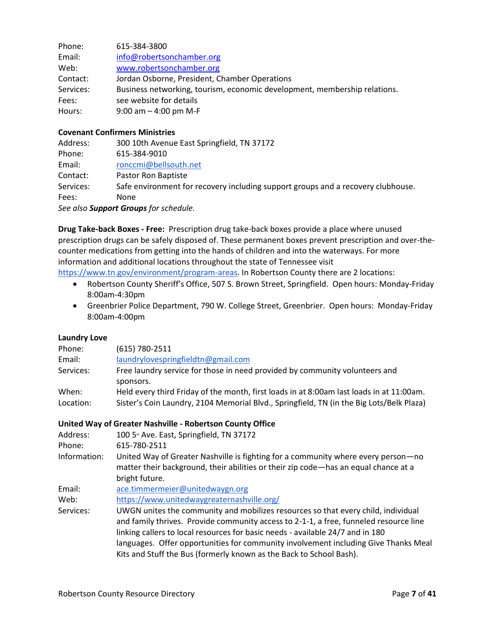| Phone:    | 615-384-3800                                                              |
|-----------|---------------------------------------------------------------------------|
| Email:    | info@robertsonchamber.org                                                 |
| Web:      | www.robertsonchamber.org                                                  |
| Contact:  | Jordan Osborne, President, Chamber Operations                             |
| Services: | Business networking, tourism, economic development, membership relations. |
| Fees:     | see website for details                                                   |
| Hours:    | 9:00 am $-$ 4:00 pm M-F                                                   |

#### **Covenant Confirmers Ministries**

| Address:  | 300 10th Avenue East Springfield, TN 37172                                       |
|-----------|----------------------------------------------------------------------------------|
| Phone:    | 615-384-9010                                                                     |
| Email:    | ronccmi@bellsouth.net                                                            |
| Contact:  | Pastor Ron Baptiste                                                              |
| Services: | Safe environment for recovery including support groups and a recovery clubhouse. |
| Fees:     | <b>None</b>                                                                      |
|           | See also <b>Support Groups</b> for schedule.                                     |

**Drug Take-back Boxes - Free:** Prescription drug take-back boxes provide a place where unused prescription drugs can be safely disposed of. These permanent boxes prevent prescription and over-thecounter medications from getting into the hands of children and into the waterways. For more information and additional locations throughout the state of Tennessee visit

[https://www.tn.gov/environment/program-areas.](https://www.tn.gov/environment/program-areas/opsp-policy-and-sustainable-practices/community-programs-and-services/unwanted-household-pharmaceuticals-takeback-program.html) In Robertson County there are 2 locations:

- Robertson County Sheriff's Office, 507 S. Brown Street, Springfield. Open hours: Monday-Friday 8:00am-4:30pm
- Greenbrier Police Department, 790 W. College Street, Greenbrier. Open hours: Monday-Friday 8:00am-4:00pm

#### **Laundry Love**

| Phone:    | $(615) 780 - 2511$                                                                       |
|-----------|------------------------------------------------------------------------------------------|
| Email:    | laundrylovespringfieldtn@gmail.com                                                       |
| Services: | Free laundry service for those in need provided by community volunteers and              |
|           | sponsors.                                                                                |
| When:     | Held every third Friday of the month, first loads in at 8:00am last loads in at 11:00am. |
| Location: | Sister's Coin Laundry, 2104 Memorial Blvd., Springfield, TN (in the Big Lots/Belk Plaza) |

#### **United Way of Greater Nashville - Robertson County Office**

| Address:     | 100 5 <sup>th</sup> Ave. East, Springfield, TN 37172                                  |
|--------------|---------------------------------------------------------------------------------------|
| Phone:       | 615-780-2511                                                                          |
| Information: | United Way of Greater Nashville is fighting for a community where every person-no     |
|              | matter their background, their abilities or their zip code—has an equal chance at a   |
|              | bright future.                                                                        |
| Email:       | ace.timmermeier@unitedwaygn.org                                                       |
| Web:         | https://www.unitedwaygreaternashville.org/                                            |
| Services:    | UWGN unites the community and mobilizes resources so that every child, individual     |
|              | and family thrives. Provide community access to 2-1-1, a free, funneled resource line |
|              | linking callers to local resources for basic needs - available 24/7 and in 180        |
|              |                                                                                       |

languages. Offer opportunities for community involvement including Give Thanks Meal Kits and Stuff the Bus (formerly known as the Back to School Bash).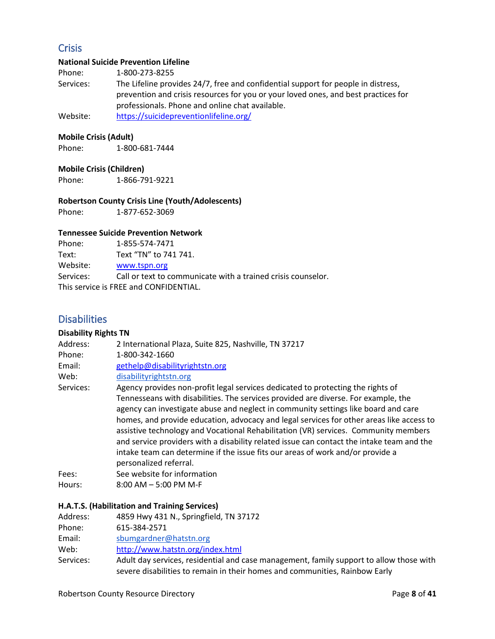### <span id="page-7-0"></span>**Crisis**

#### **National Suicide Prevention Lifeline**

Phone: 1-800-273-8255

Services: The Lifeline provides 24/7, free and confidential support for people in distress, prevention and crisis resources for you or your loved ones, and best practices for professionals. Phone and online chat available.

Website: <https://suicidepreventionlifeline.org/>

#### **Mobile Crisis (Adult)**

Phone: 1-800-681-7444

#### **Mobile Crisis (Children)**

Phone: 1-866-791-9221

#### **Robertson County Crisis Line (Youth/Adolescents)**

Phone: 1-877-652-3069

#### **Tennessee Suicide Prevention Network**

| Phone:    | 1-855-574-7471                                               |
|-----------|--------------------------------------------------------------|
| Text:     | Text "TN" to 741 741.                                        |
| Website:  | www.tspn.org                                                 |
| Services: | Call or text to communicate with a trained crisis counselor. |
|           | This service is FREE and CONFIDENTIAL.                       |

### <span id="page-7-1"></span>**Disabilities**

### **Disability Rights TN**

| Address:  | 2 International Plaza, Suite 825, Nashville, TN 37217                                                                                                                                                                                                                                                                                                                                                                                                                                                                                                                |
|-----------|----------------------------------------------------------------------------------------------------------------------------------------------------------------------------------------------------------------------------------------------------------------------------------------------------------------------------------------------------------------------------------------------------------------------------------------------------------------------------------------------------------------------------------------------------------------------|
| Phone:    | 1-800-342-1660                                                                                                                                                                                                                                                                                                                                                                                                                                                                                                                                                       |
| Email:    | gethelp@disabilityrightstn.org                                                                                                                                                                                                                                                                                                                                                                                                                                                                                                                                       |
| Web:      | disabilityrightstn.org                                                                                                                                                                                                                                                                                                                                                                                                                                                                                                                                               |
| Services: | Agency provides non-profit legal services dedicated to protecting the rights of                                                                                                                                                                                                                                                                                                                                                                                                                                                                                      |
|           | Tennesseans with disabilities. The services provided are diverse. For example, the<br>agency can investigate abuse and neglect in community settings like board and care<br>homes, and provide education, advocacy and legal services for other areas like access to<br>assistive technology and Vocational Rehabilitation (VR) services. Community members<br>and service providers with a disability related issue can contact the intake team and the<br>intake team can determine if the issue fits our areas of work and/or provide a<br>personalized referral. |
| Fees:     | See website for information                                                                                                                                                                                                                                                                                                                                                                                                                                                                                                                                          |
| Hours:    | $8:00$ AM $-5:00$ PM M-F                                                                                                                                                                                                                                                                                                                                                                                                                                                                                                                                             |

#### **H.A.T.S. (Habilitation and Training Services)**

| Address:  | 4859 Hwy 431 N., Springfield, TN 37172                                                                                                                                 |
|-----------|------------------------------------------------------------------------------------------------------------------------------------------------------------------------|
| Phone:    | 615-384-2571                                                                                                                                                           |
| Email:    | sbumgardner@hatstn.org                                                                                                                                                 |
| Web:      | http://www.hatstn.org/index.html                                                                                                                                       |
| Services: | Adult day services, residential and case management, family support to allow those with<br>severe disabilities to remain in their homes and communities, Rainbow Early |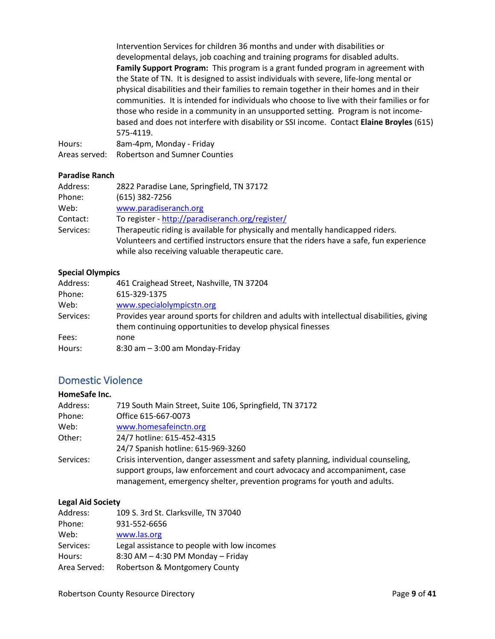Intervention Services for children 36 months and under with disabilities or developmental delays, job coaching and training programs for disabled adults. **Family Support Program:** This program is a grant funded program in agreement with the State of TN. It is designed to assist individuals with severe, life-long mental or physical disabilities and their families to remain together in their homes and in their communities. It is intended for individuals who choose to live with their families or for those who reside in a community in an unsupported setting. Program is not incomebased and does not interfere with disability or SSI income. Contact **Elaine Broyles** (615) 575-4119.

Hours: 8am-4pm, Monday - Friday Areas served: Robertson and Sumner Counties

#### **Paradise Ranch**

| Address:  | 2822 Paradise Lane, Springfield, TN 37172                                               |
|-----------|-----------------------------------------------------------------------------------------|
| Phone:    | $(615)$ 382-7256                                                                        |
| Web:      | www.paradiseranch.org                                                                   |
| Contact:  | To register - http://paradiseranch.org/register/                                        |
| Services: | Therapeutic riding is available for physically and mentally handicapped riders.         |
|           | Volunteers and certified instructors ensure that the riders have a safe, fun experience |
|           | while also receiving valuable therapeutic care.                                         |

#### **Special Olympics**

| Address:  | 461 Craighead Street, Nashville, TN 37204                                                  |
|-----------|--------------------------------------------------------------------------------------------|
| Phone:    | 615-329-1375                                                                               |
| Web:      | www.specialolympicstn.org                                                                  |
| Services: | Provides year around sports for children and adults with intellectual disabilities, giving |
|           | them continuing opportunities to develop physical finesses                                 |
| Fees:     | none                                                                                       |
| Hours:    | $8:30$ am $-3:00$ am Monday-Friday                                                         |

### <span id="page-8-0"></span>Domestic Violence

| HomeSafe Inc. |                                                                                                                                                                                                                                              |
|---------------|----------------------------------------------------------------------------------------------------------------------------------------------------------------------------------------------------------------------------------------------|
| Address:      | 719 South Main Street, Suite 106, Springfield, TN 37172                                                                                                                                                                                      |
| Phone:        | Office 615-667-0073                                                                                                                                                                                                                          |
| Web:          | www.homesafeinctn.org                                                                                                                                                                                                                        |
| Other:        | 24/7 hotline: 615-452-4315                                                                                                                                                                                                                   |
|               | 24/7 Spanish hotline: 615-969-3260                                                                                                                                                                                                           |
| Services:     | Crisis intervention, danger assessment and safety planning, individual counseling,<br>support groups, law enforcement and court advocacy and accompaniment, case<br>management, emergency shelter, prevention programs for youth and adults. |

#### **Legal Aid Society**

| Address:     | 109 S. 3rd St. Clarksville, TN 37040        |
|--------------|---------------------------------------------|
| Phone:       | 931-552-6656                                |
| Web:         | www.las.org                                 |
| Services:    | Legal assistance to people with low incomes |
| Hours:       | 8:30 AM - 4:30 PM Monday - Friday           |
| Area Served: | Robertson & Montgomery County               |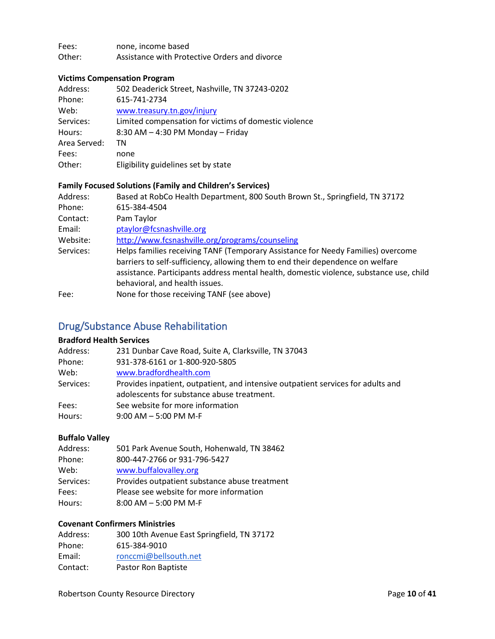Fees: none, income based Other: Assistance with Protective Orders and divorce

### **Victims Compensation Program**

| Address:     | 502 Deaderick Street, Nashville, TN 37243-0202        |
|--------------|-------------------------------------------------------|
| Phone:       | 615-741-2734                                          |
| Web:         | www.treasury.tn.gov/injury                            |
| Services:    | Limited compensation for victims of domestic violence |
| Hours:       | 8:30 AM - 4:30 PM Monday - Friday                     |
| Area Served: | ΤN                                                    |
| Fees:        | none                                                  |
| Other:       | Eligibility guidelines set by state                   |

#### **Family Focused Solutions (Family and Children's Services)**

| Address:  | Based at RobCo Health Department, 800 South Brown St., Springfield, TN 37172                                                                                       |
|-----------|--------------------------------------------------------------------------------------------------------------------------------------------------------------------|
| Phone:    | 615-384-4504                                                                                                                                                       |
| Contact:  | Pam Taylor                                                                                                                                                         |
| Email:    | ptaylor@fcsnashville.org                                                                                                                                           |
| Website:  | http://www.fcsnashville.org/programs/counseling                                                                                                                    |
| Services: | Helps families receiving TANF (Temporary Assistance for Needy Families) overcome<br>barriers to self-sufficiency, allowing them to end their dependence on welfare |
|           | assistance. Participants address mental health, domestic violence, substance use, child<br>behavioral, and health issues.                                          |
| Fee:      | None for those receiving TANF (see above)                                                                                                                          |

## <span id="page-9-0"></span>Drug/Substance Abuse Rehabilitation

#### **Bradford Health Services**

| Address:  | 231 Dunbar Cave Road, Suite A, Clarksville, TN 37043                             |
|-----------|----------------------------------------------------------------------------------|
| Phone:    | 931-378-6161 or 1-800-920-5805                                                   |
| Web:      | www.bradfordhealth.com                                                           |
| Services: | Provides inpatient, outpatient, and intensive outpatient services for adults and |
|           | adolescents for substance abuse treatment.                                       |
| Fees:     | See website for more information                                                 |
| Hours:    | $9:00$ AM $-5:00$ PM M-F                                                         |

#### **Buffalo Valley**

| Address:  | 501 Park Avenue South, Hohenwald, TN 38462    |
|-----------|-----------------------------------------------|
| Phone:    | 800-447-2766 or 931-796-5427                  |
| Web:      | www.buffalovalley.org                         |
| Services: | Provides outpatient substance abuse treatment |
| Fees:     | Please see website for more information       |
| Hours:    | $8:00$ AM $-5:00$ PM M-F                      |
|           |                                               |

#### **Covenant Confirmers Ministries**

| Address: | 300 10th Avenue East Springfield, TN 37172 |
|----------|--------------------------------------------|
| Phone:   | 615-384-9010                               |
| Email:   | ronccmi@bellsouth.net                      |
| Contact: | Pastor Ron Baptiste                        |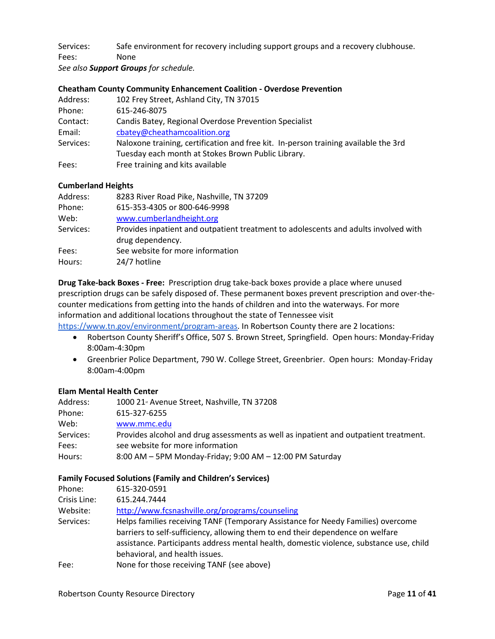Services: Safe environment for recovery including support groups and a recovery clubhouse. Fees: None

*See also Support Groups for schedule.* 

#### **Cheatham County Community Enhancement Coalition - Overdose Prevention**

| 102 Frey Street, Ashland City, TN 37015                                             |
|-------------------------------------------------------------------------------------|
| 615-246-8075                                                                        |
| Candis Batey, Regional Overdose Prevention Specialist                               |
| cbatey@cheathamcoalition.org                                                        |
| Naloxone training, certification and free kit. In-person training available the 3rd |
| Tuesday each month at Stokes Brown Public Library.                                  |
| Free training and kits available                                                    |
|                                                                                     |

#### **Cumberland Heights**

| Address:  | 8283 River Road Pike, Nashville, TN 37209                                           |
|-----------|-------------------------------------------------------------------------------------|
| Phone:    | 615-353-4305 or 800-646-9998                                                        |
| Web:      | www.cumberlandheight.org                                                            |
| Services: | Provides inpatient and outpatient treatment to adolescents and adults involved with |
|           | drug dependency.                                                                    |
| Fees:     | See website for more information                                                    |
| Hours:    | 24/7 hotline                                                                        |

**Drug Take-back Boxes - Free:** Prescription drug take-back boxes provide a place where unused prescription drugs can be safely disposed of. These permanent boxes prevent prescription and over-thecounter medications from getting into the hands of children and into the waterways. For more information and additional locations throughout the state of Tennessee visit

[https://www.tn.gov/environment/program-areas.](https://www.tn.gov/environment/program-areas/opsp-policy-and-sustainable-practices/community-programs-and-services/unwanted-household-pharmaceuticals-takeback-program.html) In Robertson County there are 2 locations:

- Robertson County Sheriff's Office, 507 S. Brown Street, Springfield. Open hours: Monday-Friday 8:00am-4:30pm
- Greenbrier Police Department, 790 W. College Street, Greenbrier. Open hours: Monday-Friday 8:00am-4:00pm

### **Elam Mental Health Center**

| Address:  | 1000 21 <sup>s</sup> Avenue Street, Nashville, TN 37208                              |
|-----------|--------------------------------------------------------------------------------------|
| Phone:    | 615-327-6255                                                                         |
| Web:      | www.mmc.edu                                                                          |
| Services: | Provides alcohol and drug assessments as well as inpatient and outpatient treatment. |
| Fees:     | see website for more information                                                     |
| Hours:    | 8:00 AM - 5PM Monday-Friday; 9:00 AM - 12:00 PM Saturday                             |

#### **Family Focused Solutions (Family and Children's Services)**

| Phone:       | 615-320-0591                                                                                                                                                                                                                                                                                    |
|--------------|-------------------------------------------------------------------------------------------------------------------------------------------------------------------------------------------------------------------------------------------------------------------------------------------------|
| Crisis Line: | 615.244.7444                                                                                                                                                                                                                                                                                    |
| Website:     | http://www.fcsnashville.org/programs/counseling                                                                                                                                                                                                                                                 |
| Services:    | Helps families receiving TANF (Temporary Assistance for Needy Families) overcome<br>barriers to self-sufficiency, allowing them to end their dependence on welfare<br>assistance. Participants address mental health, domestic violence, substance use, child<br>behavioral, and health issues. |
| Fee:         | None for those receiving TANF (see above)                                                                                                                                                                                                                                                       |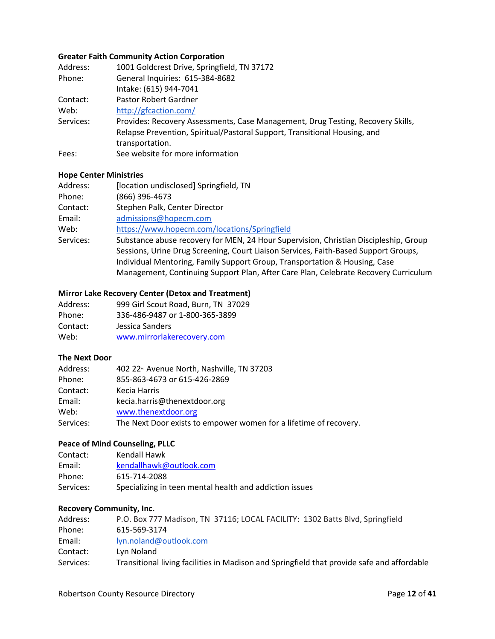#### **Greater Faith Community Action Corporation**

| Address:  | 1001 Goldcrest Drive, Springfield, TN 37172                                     |
|-----------|---------------------------------------------------------------------------------|
| Phone:    | General Inquiries: 615-384-8682                                                 |
|           | Intake: (615) 944-7041                                                          |
| Contact:  | Pastor Robert Gardner                                                           |
| Web:      | http://gfcaction.com/                                                           |
| Services: | Provides: Recovery Assessments, Case Management, Drug Testing, Recovery Skills, |
|           | Relapse Prevention, Spiritual/Pastoral Support, Transitional Housing, and       |
|           | transportation.                                                                 |
| Fees:     | See website for more information                                                |

#### **Hope Center Ministries**

| Address:  | [location undisclosed] Springfield, TN                                               |
|-----------|--------------------------------------------------------------------------------------|
| Phone:    | (866) 396-4673                                                                       |
| Contact:  | Stephen Palk, Center Director                                                        |
| Email:    | admissions@hopecm.com                                                                |
| Web:      | https://www.hopecm.com/locations/Springfield                                         |
| Services: | Substance abuse recovery for MEN, 24 Hour Supervision, Christian Discipleship, Group |
|           | Sessions, Urine Drug Screening, Court Liaison Services, Faith-Based Support Groups,  |
|           | Individual Mentoring, Family Support Group, Transportation & Housing, Case           |
|           | Management, Continuing Support Plan, After Care Plan, Celebrate Recovery Curriculum  |

### **Mirror Lake Recovery Center (Detox and Treatment)**

| Address: | 999 Girl Scout Road, Burn, TN 37029 |
|----------|-------------------------------------|
| Phone:   | 336-486-9487 or 1-800-365-3899      |
| Contact: | Jessica Sanders                     |
| Web:     | www.mirrorlakerecovery.com          |

#### **The Next Door**

| 402 22 <sup>d</sup> Avenue North, Nashville, TN 37203             |
|-------------------------------------------------------------------|
| 855-863-4673 or 615-426-2869                                      |
| Kecia Harris                                                      |
| kecia.harris@thenextdoor.org                                      |
| www.thenextdoor.org                                               |
| The Next Door exists to empower women for a lifetime of recovery. |
|                                                                   |

#### **Peace of Mind Counseling, PLLC**

| Contact:  | Kendall Hawk                                            |
|-----------|---------------------------------------------------------|
| Email:    | kendallhawk@outlook.com                                 |
| Phone:    | 615-714-2088                                            |
| Services: | Specializing in teen mental health and addiction issues |

#### **Recovery Community, Inc.**

| Address:  | P.O. Box 777 Madison, TN 37116; LOCAL FACILITY: 1302 Batts Blvd, Springfield               |
|-----------|--------------------------------------------------------------------------------------------|
| Phone:    | 615-569-3174                                                                               |
| Email:    | lyn.noland@outlook.com                                                                     |
| Contact:  | Lyn Noland                                                                                 |
| Services: | Transitional living facilities in Madison and Springfield that provide safe and affordable |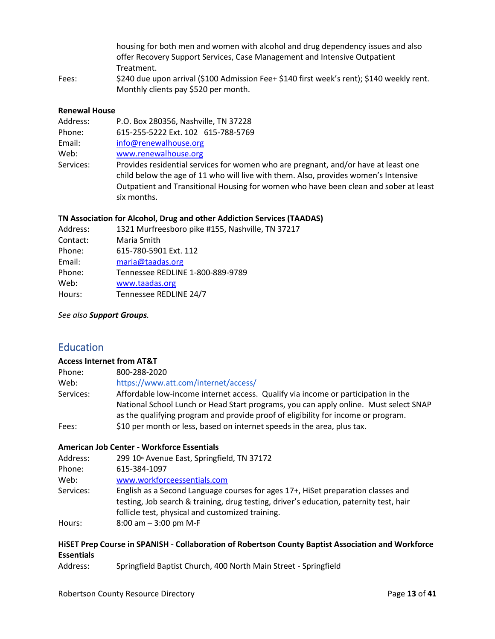| housing for both men and women with alcohol and drug dependency issues and also                                 |
|-----------------------------------------------------------------------------------------------------------------|
| offer Recovery Support Services, Case Management and Intensive Outpatient                                       |
| Treatment.                                                                                                      |
| the contract of the contract of the contract of the contract of the contract of the contract of the contract of |

Fees:  $$240$  due upon arrival (\$100 Admission Fee+ \$140 first week's rent); \$140 weekly rent. Monthly clients pay \$520 per month.

#### **Renewal House**

| Address:  | P.O. Box 280356, Nashville, TN 37228                                                                                                                                                                                                                                             |
|-----------|----------------------------------------------------------------------------------------------------------------------------------------------------------------------------------------------------------------------------------------------------------------------------------|
| Phone:    | 615-255-5222 Ext. 102 615-788-5769                                                                                                                                                                                                                                               |
| Email:    | info@renewalhouse.org                                                                                                                                                                                                                                                            |
| Web:      | www.renewalhouse.org                                                                                                                                                                                                                                                             |
| Services: | Provides residential services for women who are pregnant, and/or have at least one<br>child below the age of 11 who will live with them. Also, provides women's Intensive<br>Outpatient and Transitional Housing for women who have been clean and sober at least<br>six months. |

#### **TN Association for Alcohol, Drug and other Addiction Services (TAADAS)**

| Address: | 1321 Murfreesboro pike #155, Nashville, TN 37217 |
|----------|--------------------------------------------------|
| Contact: | Maria Smith                                      |
| Phone:   | 615-780-5901 Ext. 112                            |
| Email:   | maria@taadas.org                                 |
| Phone:   | Tennessee REDLINE 1-800-889-9789                 |
| Web:     | www.taadas.org                                   |
| Hours:   | Tennessee REDLINE 24/7                           |
|          |                                                  |

<span id="page-12-0"></span>*See also Support Groups.* 

### **Education**

#### **Access Internet from AT&T**

| Phone:    | 800-288-2020                                                                         |
|-----------|--------------------------------------------------------------------------------------|
| Web:      | https://www.att.com/internet/access/                                                 |
| Services: | Affordable low-income internet access. Qualify via income or participation in the    |
|           | National School Lunch or Head Start programs, you can apply online. Must select SNAP |
|           | as the qualifying program and provide proof of eligibility for income or program.    |
| Fees:     | \$10 per month or less, based on internet speeds in the area, plus tax.              |

#### **American Job Center - Workforce Essentials**

| Address:  | 299 10 <sup>th</sup> Avenue East, Springfield, TN 37172                                                                                                                    |
|-----------|----------------------------------------------------------------------------------------------------------------------------------------------------------------------------|
| Phone:    | 615-384-1097                                                                                                                                                               |
| Web:      | www.workforceessentials.com                                                                                                                                                |
| Services: | English as a Second Language courses for ages 17+, HiSet preparation classes and<br>testing, Job search & training, drug testing, driver's education, paternity test, hair |
|           | follicle test, physical and customized training.                                                                                                                           |
| Hours:    | $8:00$ am $-3:00$ pm M-F                                                                                                                                                   |

#### **HiSET Prep Course in SPANISH - Collaboration of Robertson County Baptist Association and Workforce Essentials**

Address: Springfield Baptist Church, 400 North Main Street - Springfield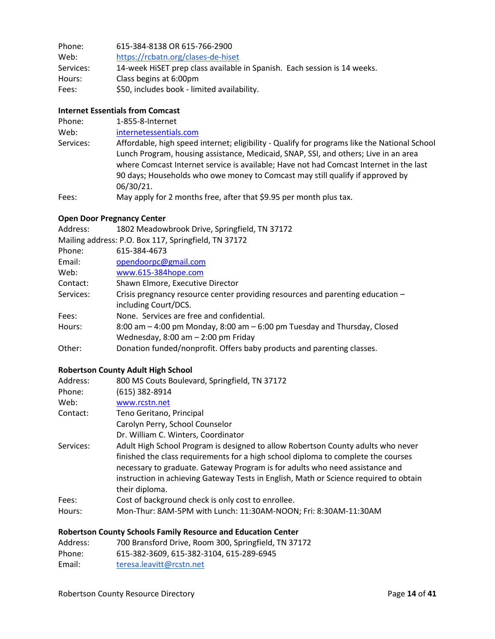| Phone:    | 615-384-8138 OR 615-766-2900                                             |
|-----------|--------------------------------------------------------------------------|
| Web:      | https://rcbatn.org/clases-de-hiset                                       |
| Services: | 14-week HiSET prep class available in Spanish. Each session is 14 weeks. |
| Hours:    | Class begins at 6:00pm                                                   |
| Fees:     | \$50, includes book - limited availability.                              |

#### **Internet Essentials from Comcast**

| Phone:    | 1-855-8-Internet                                                                                                                                                                                                                                                                                                                                               |
|-----------|----------------------------------------------------------------------------------------------------------------------------------------------------------------------------------------------------------------------------------------------------------------------------------------------------------------------------------------------------------------|
| Web:      | internetessentials.com                                                                                                                                                                                                                                                                                                                                         |
| Services: | Affordable, high speed internet; eligibility - Qualify for programs like the National School<br>Lunch Program, housing assistance, Medicaid, SNAP, SSI, and others; Live in an area<br>where Comcast Internet service is available; Have not had Comcast Internet in the last<br>90 days; Households who owe money to Comcast may still qualify if approved by |
|           | 06/30/21.                                                                                                                                                                                                                                                                                                                                                      |
| Fees:     | May apply for 2 months free, after that \$9.95 per month plus tax.                                                                                                                                                                                                                                                                                             |

### **Open Door Pregnancy Center**

| 1802 Meadowbrook Drive, Springfield, TN 37172                                                          |
|--------------------------------------------------------------------------------------------------------|
| Mailing address: P.O. Box 117, Springfield, TN 37172                                                   |
| 615-384-4673                                                                                           |
| opendoorpc@gmail.com                                                                                   |
| www.615-384hope.com                                                                                    |
| Shawn Elmore, Executive Director                                                                       |
| Crisis pregnancy resource center providing resources and parenting education -<br>including Court/DCS. |
| None. Services are free and confidential.                                                              |
| 8:00 am - 4:00 pm Monday, 8:00 am - 6:00 pm Tuesday and Thursday, Closed                               |
| Wednesday, $8:00$ am $-2:00$ pm Friday                                                                 |
| Donation funded/nonprofit. Offers baby products and parenting classes.                                 |
|                                                                                                        |

### **Robertson County Adult High School**

| Address:        | 800 MS Couts Boulevard, Springfield, TN 37172                                                                                                                                                                                                                                                                                                                    |
|-----------------|------------------------------------------------------------------------------------------------------------------------------------------------------------------------------------------------------------------------------------------------------------------------------------------------------------------------------------------------------------------|
| Phone:          | (615) 382-8914                                                                                                                                                                                                                                                                                                                                                   |
| Web:            | www.rcstn.net                                                                                                                                                                                                                                                                                                                                                    |
| Contact:        | Teno Geritano, Principal                                                                                                                                                                                                                                                                                                                                         |
|                 | Carolyn Perry, School Counselor                                                                                                                                                                                                                                                                                                                                  |
|                 | Dr. William C. Winters, Coordinator                                                                                                                                                                                                                                                                                                                              |
| Services:       | Adult High School Program is designed to allow Robertson County adults who never<br>finished the class requirements for a high school diploma to complete the courses<br>necessary to graduate. Gateway Program is for adults who need assistance and<br>instruction in achieving Gateway Tests in English, Math or Science required to obtain<br>their diploma. |
| Fees:<br>Hours: | Cost of background check is only cost to enrollee.<br>Mon-Thur: 8AM-5PM with Lunch: 11:30AM-NOON; Fri: 8:30AM-11:30AM                                                                                                                                                                                                                                            |

### **Robertson County Schools Family Resource and Education Center**

| Address: | 700 Bransford Drive, Room 300, Springfield, TN 37172 |
|----------|------------------------------------------------------|
| Phone:   | 615-382-3609, 615-382-3104, 615-289-6945             |
| Email:   | teresa.leavitt@rcstn.net                             |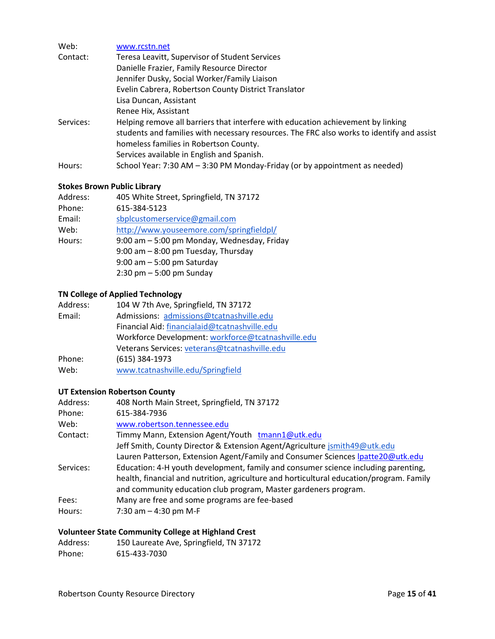| Web:      | www.rcstn.net                                                                             |
|-----------|-------------------------------------------------------------------------------------------|
| Contact:  | Teresa Leavitt, Supervisor of Student Services                                            |
|           | Danielle Frazier, Family Resource Director                                                |
|           | Jennifer Dusky, Social Worker/Family Liaison                                              |
|           | Evelin Cabrera, Robertson County District Translator                                      |
|           | Lisa Duncan, Assistant                                                                    |
|           | Renee Hix, Assistant                                                                      |
| Services: | Helping remove all barriers that interfere with education achievement by linking          |
|           | students and families with necessary resources. The FRC also works to identify and assist |
|           | homeless families in Robertson County.                                                    |
|           | Services available in English and Spanish.                                                |
| Hours:    | School Year: 7:30 AM - 3:30 PM Monday-Friday (or by appointment as needed)                |

### **Stokes Brown Public Library**

| Address: | 405 White Street, Springfield, TN 37172     |
|----------|---------------------------------------------|
| Phone:   | 615-384-5123                                |
| Email:   | sbplcustomerservice@gmail.com               |
| Web:     | http://www.youseemore.com/springfieldpl/    |
| Hours:   | 9:00 am - 5:00 pm Monday, Wednesday, Friday |
|          | 9:00 am - 8:00 pm Tuesday, Thursday         |
|          | $9:00$ am $-5:00$ pm Saturday               |
|          | $2:30$ pm $-5:00$ pm Sunday                 |

### **TN College of Applied Technology**

| Address: | 104 W 7th Ave, Springfield, TN 37172               |
|----------|----------------------------------------------------|
| Email:   | Admissions: admissions@tcatnashville.edu           |
|          | Financial Aid: financialaid@tcatnashville.edu      |
|          | Workforce Development: workforce@tcatnashville.edu |
|          | Veterans Services: veterans@tcatnashville.edu      |
| Phone:   | $(615)$ 384-1973                                   |
| Web:     | www.tcatnashville.edu/Springfield                  |

### **UT Extension Robertson County**

| Address:  | 408 North Main Street, Springfield, TN 37172                                                                                                                                                                                                      |
|-----------|---------------------------------------------------------------------------------------------------------------------------------------------------------------------------------------------------------------------------------------------------|
| Phone:    | 615-384-7936                                                                                                                                                                                                                                      |
| Web:      | www.robertson.tennessee.edu                                                                                                                                                                                                                       |
| Contact:  | Timmy Mann, Extension Agent/Youth tmann1@utk.edu                                                                                                                                                                                                  |
|           | Jeff Smith, County Director & Extension Agent/Agriculture jsmith49@utk.edu                                                                                                                                                                        |
|           | Lauren Patterson, Extension Agent/Family and Consumer Sciences Ipatte20@utk.edu                                                                                                                                                                   |
| Services: | Education: 4-H youth development, family and consumer science including parenting,<br>health, financial and nutrition, agriculture and horticultural education/program. Family<br>and community education club program, Master gardeners program. |
| Fees:     | Many are free and some programs are fee-based                                                                                                                                                                                                     |
| Hours:    | 7:30 am $-$ 4:30 pm M-F                                                                                                                                                                                                                           |

### **Volunteer State Community College at Highland Crest**

| Address: | 150 Laureate Ave, Springfield, TN 37172 |
|----------|-----------------------------------------|
| Phone:   | 615-433-7030                            |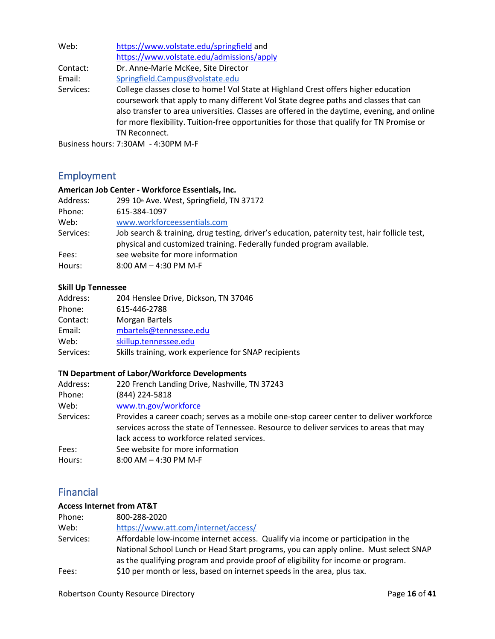| Web:      | https://www.volstate.edu/springfield and                                                                                                                                                                                                                                                                                                                              |  |
|-----------|-----------------------------------------------------------------------------------------------------------------------------------------------------------------------------------------------------------------------------------------------------------------------------------------------------------------------------------------------------------------------|--|
|           | https://www.volstate.edu/admissions/apply                                                                                                                                                                                                                                                                                                                             |  |
| Contact:  | Dr. Anne-Marie McKee, Site Director                                                                                                                                                                                                                                                                                                                                   |  |
| Email:    | Springfield.Campus@volstate.edu                                                                                                                                                                                                                                                                                                                                       |  |
| Services: | College classes close to home! Vol State at Highland Crest offers higher education<br>coursework that apply to many different Vol State degree paths and classes that can<br>also transfer to area universities. Classes are offered in the daytime, evening, and online<br>for more flexibility. Tuition-free opportunities for those that qualify for TN Promise or |  |
|           | TN Reconnect.                                                                                                                                                                                                                                                                                                                                                         |  |
|           | $P_{\text{train} \text{acc}}$ hours 7.2011 $\ell$ 1.2001 $\ell$ L                                                                                                                                                                                                                                                                                                     |  |

<span id="page-15-0"></span>Business hours: 7:30AM - 4:30PM M-F

## Employment

### **American Job Center - Workforce Essentials, Inc.**

| Address:  | 299 10 <sup>th</sup> Ave. West, Springfield, TN 37172                                                                                                                 |
|-----------|-----------------------------------------------------------------------------------------------------------------------------------------------------------------------|
| Phone:    | 615-384-1097                                                                                                                                                          |
| Web:      | www.workforceessentials.com                                                                                                                                           |
| Services: | Job search & training, drug testing, driver's education, paternity test, hair follicle test,<br>physical and customized training. Federally funded program available. |
| Fees:     | see website for more information                                                                                                                                      |
| Hours:    | $8:00$ AM $-$ 4:30 PM M-F                                                                                                                                             |

#### **Skill Up Tennessee**

| Address:  | 204 Henslee Drive, Dickson, TN 37046                 |
|-----------|------------------------------------------------------|
| Phone:    | 615-446-2788                                         |
| Contact:  | Morgan Bartels                                       |
| Email:    | mbartels@tennessee.edu                               |
| Web:      | skillup.tennessee.edu                                |
| Services: | Skills training, work experience for SNAP recipients |

### **TN Department of Labor/Workforce Developments**

| Address:  | 220 French Landing Drive, Nashville, TN 37243                                           |
|-----------|-----------------------------------------------------------------------------------------|
| Phone:    | (844) 224-5818                                                                          |
| Web:      | www.tn.gov/workforce                                                                    |
| Services: | Provides a career coach; serves as a mobile one-stop career center to deliver workforce |
|           | services across the state of Tennessee. Resource to deliver services to areas that may  |
|           | lack access to workforce related services.                                              |
| Fees:     | See website for more information                                                        |
| Hours:    | $8:00$ AM $-$ 4:30 PM M-F                                                               |

### <span id="page-15-1"></span>Financial

#### **Access Internet from AT&T**

| Phone:    | 800-288-2020                                                                                                                                                                                                                                                   |
|-----------|----------------------------------------------------------------------------------------------------------------------------------------------------------------------------------------------------------------------------------------------------------------|
| Web:      | https://www.att.com/internet/access/                                                                                                                                                                                                                           |
| Services: | Affordable low-income internet access. Qualify via income or participation in the<br>National School Lunch or Head Start programs, you can apply online. Must select SNAP<br>as the qualifying program and provide proof of eligibility for income or program. |
| Fees:     | \$10 per month or less, based on internet speeds in the area, plus tax.                                                                                                                                                                                        |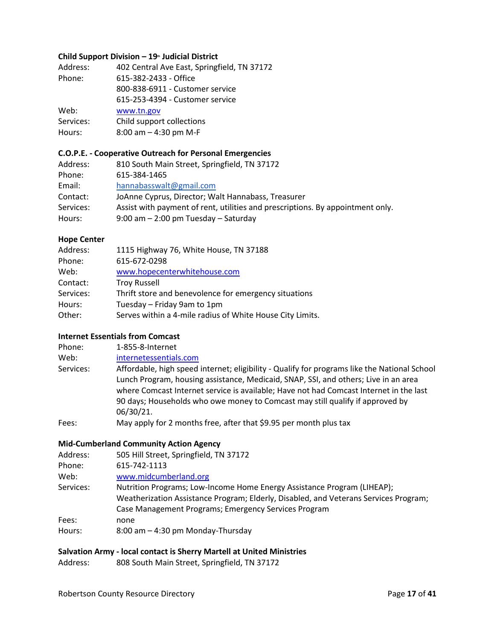#### **Child Support Division – 19th Judicial District**

| Address:  | 402 Central Ave East, Springfield, TN 37172 |
|-----------|---------------------------------------------|
| Phone:    | 615-382-2433 - Office                       |
|           | 800-838-6911 - Customer service             |
|           | 615-253-4394 - Customer service             |
| Web:      | www.tn.gov                                  |
| Services: | Child support collections                   |
| Hours:    | 8:00 am - 4:30 pm M-F                       |

#### **C.O.P.E. - Cooperative Outreach for Personal Emergencies**

| Address:  | 810 South Main Street, Springfield, TN 37172                                   |
|-----------|--------------------------------------------------------------------------------|
| Phone:    | 615-384-1465                                                                   |
| Email:    | hannabasswalt@gmail.com                                                        |
| Contact:  | JoAnne Cyprus, Director; Walt Hannabass, Treasurer                             |
| Services: | Assist with payment of rent, utilities and prescriptions. By appointment only. |
| Hours:    | $9:00$ am $-2:00$ pm Tuesday $-$ Saturday                                      |

#### **Hope Center**

| Address:  | 1115 Highway 76, White House, TN 37188                    |
|-----------|-----------------------------------------------------------|
| Phone:    | 615-672-0298                                              |
| Web:      | www.hopecenterwhitehouse.com                              |
| Contact:  | <b>Troy Russell</b>                                       |
| Services: | Thrift store and benevolence for emergency situations     |
| Hours:    | Tuesday - Friday 9am to 1pm                               |
| Other:    | Serves within a 4-mile radius of White House City Limits. |

#### **Internet Essentials from Comcast**

| Phone:    | 1-855-8-Internet                                                                                                                                                                                                                                                              |
|-----------|-------------------------------------------------------------------------------------------------------------------------------------------------------------------------------------------------------------------------------------------------------------------------------|
| Web:      | internetessentials.com                                                                                                                                                                                                                                                        |
| Services: | Affordable, high speed internet; eligibility - Qualify for programs like the National School<br>Lunch Program, housing assistance, Medicaid, SNAP, SSI, and others; Live in an area<br>where Comcast Internet service is available; Have not had Comcast Internet in the last |
|           | 90 days; Households who owe money to Comcast may still qualify if approved by<br>06/30/21.                                                                                                                                                                                    |
| Fees:     | May apply for 2 months free, after that \$9.95 per month plus tax                                                                                                                                                                                                             |

#### **Mid-Cumberland Community Action Agency**

| Address:  | 505 Hill Street, Springfield, TN 37172                                               |
|-----------|--------------------------------------------------------------------------------------|
| Phone:    | 615-742-1113                                                                         |
| Web:      | www.midcumberland.org                                                                |
| Services: | Nutrition Programs; Low-Income Home Energy Assistance Program (LIHEAP);              |
|           | Weatherization Assistance Program; Elderly, Disabled, and Veterans Services Program; |
|           | Case Management Programs; Emergency Services Program                                 |
| Fees:     | none                                                                                 |
| Hours:    | 8:00 am - 4:30 pm Monday-Thursday                                                    |

### **Salvation Army - local contact is Sherry Martell at United Ministries**

Address: 808 South Main Street, Springfield, TN 37172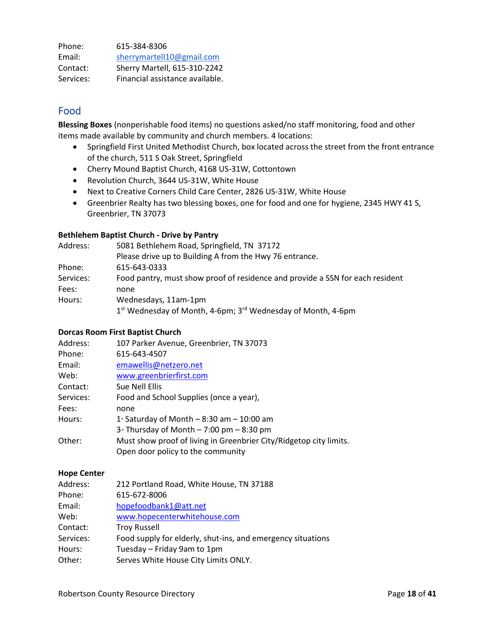| Phone:    | 615-384-8306                    |
|-----------|---------------------------------|
| Email:    | sherrymartell10@gmail.com       |
| Contact:  | Sherry Martell, 615-310-2242    |
| Services: | Financial assistance available. |

### <span id="page-17-0"></span>Food

**Blessing Boxes** (nonperishable food items) no questions asked/no staff monitoring, food and other items made available by community and church members. 4 locations:

- Springfield First United Methodist Church, box located across the street from the front entrance of the church, 511 S Oak Street, Springfield
- Cherry Mound Baptist Church, 4168 US-31W, Cottontown
- Revolution Church, 3644 US-31W, White House
- Next to Creative Corners Child Care Center, 2826 US-31W, White House
- Greenbrier Realty has two blessing boxes, one for food and one for hygiene, 2345 HWY 41 S, Greenbrier, TN 37073

#### **Bethlehem Baptist Church - Drive by Pantry**

| Address:  | 5081 Bethlehem Road, Springfield, TN 37172                                           |
|-----------|--------------------------------------------------------------------------------------|
|           | Please drive up to Building A from the Hwy 76 entrance.                              |
| Phone:    | 615-643-0333                                                                         |
| Services: | Food pantry, must show proof of residence and provide a SSN for each resident        |
| Fees:     | none                                                                                 |
| Hours:    | Wednesdays, 11am-1pm                                                                 |
|           | 1 <sup>st</sup> Wednesday of Month, 4-6pm; 3 <sup>rd</sup> Wednesday of Month, 4-6pm |

#### **Dorcas Room First Baptist Church**

| Address:  | 107 Parker Avenue, Greenbrier, TN 37073                            |
|-----------|--------------------------------------------------------------------|
| Phone:    | 615-643-4507                                                       |
| Email:    | emawellis@netzero.net                                              |
| Web:      | www.greenbrierfirst.com                                            |
| Contact:  | Sue Nell Ellis                                                     |
| Services: | Food and School Supplies (once a year),                            |
| Fees:     | none                                                               |
| Hours:    | $1$ <sup>x</sup> Saturday of Month – 8:30 am – 10:00 am            |
|           | $3d$ Thursday of Month - 7:00 pm - 8:30 pm                         |
| Other:    | Must show proof of living in Greenbrier City/Ridgetop city limits. |
|           | Open door policy to the community                                  |

#### **Hope Center**

| Address:  | 212 Portland Road, White House, TN 37188                    |
|-----------|-------------------------------------------------------------|
| Phone:    | 615-672-8006                                                |
| Email:    | hopefoodbank1@att.net                                       |
| Web:      | www.hopecenterwhitehouse.com                                |
| Contact:  | <b>Troy Russell</b>                                         |
| Services: | Food supply for elderly, shut-ins, and emergency situations |
| Hours:    | Tuesday - Friday 9am to 1pm                                 |
| Other:    | Serves White House City Limits ONLY.                        |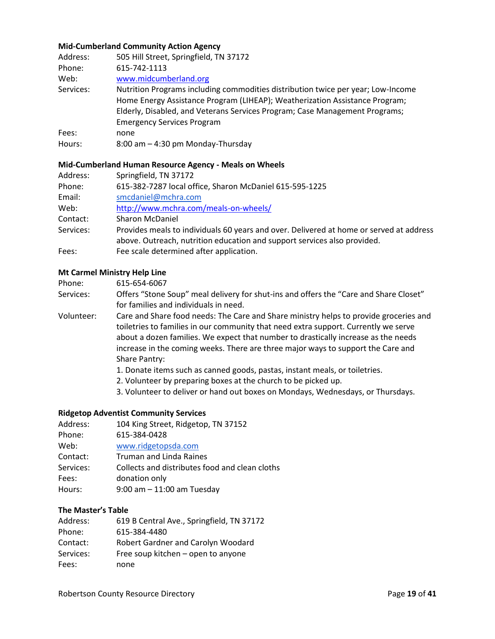#### **Mid-Cumberland Community Action Agency**

| Address:  | 505 Hill Street, Springfield, TN 37172                                           |
|-----------|----------------------------------------------------------------------------------|
| Phone:    | 615-742-1113                                                                     |
| Web:      | www.midcumberland.org                                                            |
| Services: | Nutrition Programs including commodities distribution twice per year; Low-Income |
|           | Home Energy Assistance Program (LIHEAP); Weatherization Assistance Program;      |
|           | Elderly, Disabled, and Veterans Services Program; Case Management Programs;      |
|           | <b>Emergency Services Program</b>                                                |
| Fees:     | none                                                                             |
| Hours:    | 8:00 am - 4:30 pm Monday-Thursday                                                |

#### **Mid-Cumberland Human Resource Agency - Meals on Wheels**

| Address:  | Springfield, TN 37172                                                                                                                                               |
|-----------|---------------------------------------------------------------------------------------------------------------------------------------------------------------------|
| Phone:    | 615-382-7287 local office, Sharon McDaniel 615-595-1225                                                                                                             |
| Email:    | smcdaniel@mchra.com                                                                                                                                                 |
| Web:      | http://www.mchra.com/meals-on-wheels/                                                                                                                               |
| Contact:  | <b>Sharon McDaniel</b>                                                                                                                                              |
| Services: | Provides meals to individuals 60 years and over. Delivered at home or served at address<br>above. Outreach, nutrition education and support services also provided. |
| Fees:     | Fee scale determined after application.                                                                                                                             |

#### **Mt Carmel Ministry Help Line**

Services: Offers "Stone Soup" meal delivery for shut-ins and offers the "Care and Share Closet" for families and individuals in need.

Volunteer: Care and Share food needs: The Care and Share ministry helps to provide groceries and toiletries to families in our community that need extra support. Currently we serve about a dozen families. We expect that number to drastically increase as the needs increase in the coming weeks. There are three major ways to support the Care and Share Pantry:

- 1. Donate items such as canned goods, pastas, instant meals, or toiletries.
- 2. Volunteer by preparing boxes at the church to be picked up.
- 3. Volunteer to deliver or hand out boxes on Mondays, Wednesdays, or Thursdays.

#### **Ridgetop Adventist Community Services**

| Address:  | 104 King Street, Ridgetop, TN 37152            |
|-----------|------------------------------------------------|
| Phone:    | 615-384-0428                                   |
| Web:      | www.ridgetopsda.com                            |
| Contact:  | <b>Truman and Linda Raines</b>                 |
| Services: | Collects and distributes food and clean cloths |
| Fees:     | donation only                                  |
| Hours:    | 9:00 am $-$ 11:00 am Tuesday                   |

#### **The Master's Table**

| Address:  | 619 B Central Ave., Springfield, TN 37172 |
|-----------|-------------------------------------------|
| Phone:    | 615-384-4480                              |
| Contact:  | Robert Gardner and Carolyn Woodard        |
| Services: | Free soup kitchen – open to anyone        |
| Fees:     | none                                      |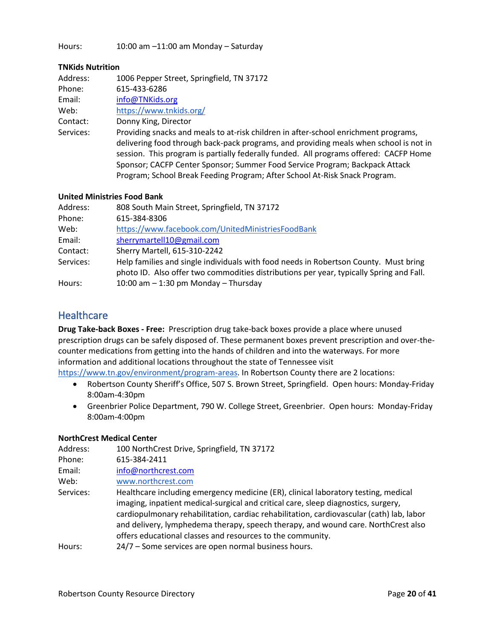Hours: 10:00 am –11:00 am Monday – Saturday

#### **TNKids Nutrition**

| Address:  | 1006 Pepper Street, Springfield, TN 37172                                                                                                                                                                                                                                                                                                                                                                                          |
|-----------|------------------------------------------------------------------------------------------------------------------------------------------------------------------------------------------------------------------------------------------------------------------------------------------------------------------------------------------------------------------------------------------------------------------------------------|
| Phone:    | 615-433-6286                                                                                                                                                                                                                                                                                                                                                                                                                       |
| Email:    | info@TNKids.org                                                                                                                                                                                                                                                                                                                                                                                                                    |
| Web:      | https://www.tnkids.org/                                                                                                                                                                                                                                                                                                                                                                                                            |
| Contact:  | Donny King, Director                                                                                                                                                                                                                                                                                                                                                                                                               |
| Services: | Providing snacks and meals to at-risk children in after-school enrichment programs,<br>delivering food through back-pack programs, and providing meals when school is not in<br>session. This program is partially federally funded. All programs offered: CACFP Home<br>Sponsor; CACFP Center Sponsor; Summer Food Service Program; Backpack Attack<br>Program; School Break Feeding Program; After School At-Risk Snack Program. |

#### **United Ministries Food Bank**

| Address:  | 808 South Main Street, Springfield, TN 37172                                            |
|-----------|-----------------------------------------------------------------------------------------|
| Phone:    | 615-384-8306                                                                            |
| Web:      | https://www.facebook.com/UnitedMinistriesFoodBank                                       |
| Email:    | sherrymartell10@gmail.com                                                               |
| Contact:  | Sherry Martell, 615-310-2242                                                            |
| Services: | Help families and single individuals with food needs in Robertson County. Must bring    |
|           | photo ID. Also offer two commodities distributions per year, typically Spring and Fall. |
| Hours:    | 10:00 am $-$ 1:30 pm Monday $-$ Thursday                                                |

### <span id="page-19-0"></span>**Healthcare**

**Drug Take-back Boxes - Free:** Prescription drug take-back boxes provide a place where unused prescription drugs can be safely disposed of. These permanent boxes prevent prescription and over-thecounter medications from getting into the hands of children and into the waterways. For more information and additional locations throughout the state of Tennessee visit

[https://www.tn.gov/environment/program-areas.](https://www.tn.gov/environment/program-areas/opsp-policy-and-sustainable-practices/community-programs-and-services/unwanted-household-pharmaceuticals-takeback-program.html) In Robertson County there are 2 locations:

- Robertson County Sheriff's Office, 507 S. Brown Street, Springfield. Open hours: Monday-Friday 8:00am-4:30pm
- Greenbrier Police Department, 790 W. College Street, Greenbrier. Open hours: Monday-Friday 8:00am-4:00pm

#### **NorthCrest Medical Center**

| Address:  | 100 NorthCrest Drive, Springfield, TN 37172                                                                                                                                                                                                                                                                                       |
|-----------|-----------------------------------------------------------------------------------------------------------------------------------------------------------------------------------------------------------------------------------------------------------------------------------------------------------------------------------|
| Phone:    | 615-384-2411                                                                                                                                                                                                                                                                                                                      |
| Email:    | info@northcrest.com                                                                                                                                                                                                                                                                                                               |
| Web:      | www.northcrest.com                                                                                                                                                                                                                                                                                                                |
| Services: | Healthcare including emergency medicine (ER), clinical laboratory testing, medical                                                                                                                                                                                                                                                |
|           | imaging, inpatient medical-surgical and critical care, sleep diagnostics, surgery,<br>cardiopulmonary rehabilitation, cardiac rehabilitation, cardiovascular (cath) lab, labor<br>and delivery, lymphedema therapy, speech therapy, and wound care. NorthCrest also<br>offers educational classes and resources to the community. |
| Hours:    | 24/7 - Some services are open normal business hours.                                                                                                                                                                                                                                                                              |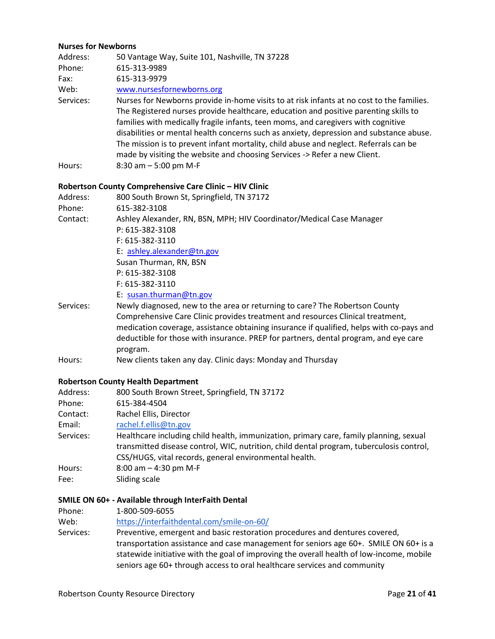#### **Nurses for Newborns**

| Address:  | 50 Vantage Way, Suite 101, Nashville, TN 37228                                                                                                                                                                                                                                                                                                                                                                                                                                                                                          |  |
|-----------|-----------------------------------------------------------------------------------------------------------------------------------------------------------------------------------------------------------------------------------------------------------------------------------------------------------------------------------------------------------------------------------------------------------------------------------------------------------------------------------------------------------------------------------------|--|
| Phone:    | 615-313-9989                                                                                                                                                                                                                                                                                                                                                                                                                                                                                                                            |  |
| Fax:      | 615-313-9979                                                                                                                                                                                                                                                                                                                                                                                                                                                                                                                            |  |
| Web:      | www.nursesfornewborns.org                                                                                                                                                                                                                                                                                                                                                                                                                                                                                                               |  |
| Services: | Nurses for Newborns provide in-home visits to at risk infants at no cost to the families.<br>The Registered nurses provide healthcare, education and positive parenting skills to<br>families with medically fragile infants, teen moms, and caregivers with cognitive<br>disabilities or mental health concerns such as anxiety, depression and substance abuse.<br>The mission is to prevent infant mortality, child abuse and neglect. Referrals can be<br>made by visiting the website and choosing Services -> Refer a new Client. |  |
| Hours:    | 8:30 am $-5:00$ pm M-F                                                                                                                                                                                                                                                                                                                                                                                                                                                                                                                  |  |
|           | Robertson County Comprehensive Care Clinic - HIV Clinic                                                                                                                                                                                                                                                                                                                                                                                                                                                                                 |  |
| Address:  | 800 South Brown St, Springfield, TN 37172                                                                                                                                                                                                                                                                                                                                                                                                                                                                                               |  |
| Phone:    | 615-382-3108                                                                                                                                                                                                                                                                                                                                                                                                                                                                                                                            |  |
| Contact:  | Ashley Alexander, RN, BSN, MPH; HIV Coordinator/Medical Case Manager                                                                                                                                                                                                                                                                                                                                                                                                                                                                    |  |
|           | P: 615-382-3108                                                                                                                                                                                                                                                                                                                                                                                                                                                                                                                         |  |
|           | F: 615-382-3110                                                                                                                                                                                                                                                                                                                                                                                                                                                                                                                         |  |
|           | E: ashley.alexander@tn.gov                                                                                                                                                                                                                                                                                                                                                                                                                                                                                                              |  |
|           | Susan Thurman, RN, BSN                                                                                                                                                                                                                                                                                                                                                                                                                                                                                                                  |  |
|           | P: 615-382-3108                                                                                                                                                                                                                                                                                                                                                                                                                                                                                                                         |  |
|           | F: 615-382-3110                                                                                                                                                                                                                                                                                                                                                                                                                                                                                                                         |  |
|           | E: susan.thurman@tn.gov                                                                                                                                                                                                                                                                                                                                                                                                                                                                                                                 |  |
| Services: | Newly diagnosed, new to the area or returning to care? The Robertson County                                                                                                                                                                                                                                                                                                                                                                                                                                                             |  |
|           | Comprehensive Care Clinic provides treatment and resources Clinical treatment,<br>medication coverage, assistance obtaining insurance if qualified, helps with co-pays and<br>deductible for those with insurance. PREP for partners, dental program, and eye care<br>program.                                                                                                                                                                                                                                                          |  |

Hours: New clients taken any day. Clinic days: Monday and Thursday

#### **Robertson County Health Department**

| Address:  | 800 South Brown Street, Springfield, TN 37172                                                                                                                                                                                                |
|-----------|----------------------------------------------------------------------------------------------------------------------------------------------------------------------------------------------------------------------------------------------|
| Phone:    | 615-384-4504                                                                                                                                                                                                                                 |
| Contact:  | Rachel Ellis, Director                                                                                                                                                                                                                       |
| Email:    | rachel.f.ellis@tn.gov                                                                                                                                                                                                                        |
| Services: | Healthcare including child health, immunization, primary care, family planning, sexual<br>transmitted disease control, WIC, nutrition, child dental program, tuberculosis control,<br>CSS/HUGS, vital records, general environmental health. |
| Hours:    | 8:00 am $-$ 4:30 pm M-F                                                                                                                                                                                                                      |
| Fee:      | Sliding scale                                                                                                                                                                                                                                |

#### **SMILE ON 60+ - Available through InterFaith Dental**

| Phone: | 1-800-509-6055                            |
|--------|-------------------------------------------|
| Web:   | https://interfaithdental.com/smile-on-60/ |

Services: Preventive, emergent and basic restoration procedures and dentures covered, transportation assistance and case management for seniors age 60+. SMILE ON 60+ is a statewide initiative with the goal of improving the overall health of low-income, mobile seniors age 60+ through access to oral healthcare services and community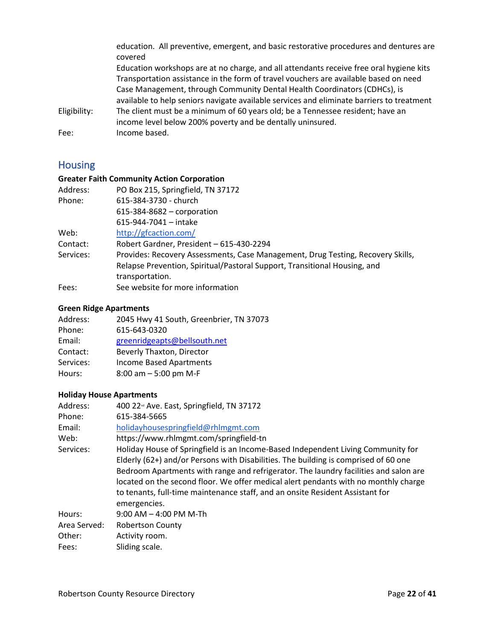|              | education. All preventive, emergent, and basic restorative procedures and dentures are<br>covered |
|--------------|---------------------------------------------------------------------------------------------------|
|              | Education workshops are at no charge, and all attendants receive free oral hygiene kits           |
|              | Transportation assistance in the form of travel vouchers are available based on need              |
|              | Case Management, through Community Dental Health Coordinators (CDHCs), is                         |
|              | available to help seniors navigate available services and eliminate barriers to treatment         |
| Eligibility: | The client must be a minimum of 60 years old; be a Tennessee resident; have an                    |
|              | income level below 200% poverty and be dentally uninsured.                                        |
| Fee:         | Income based.                                                                                     |

## <span id="page-21-0"></span>Housing

### **Greater Faith Community Action Corporation**

| Address:  | PO Box 215, Springfield, TN 37172                                               |
|-----------|---------------------------------------------------------------------------------|
| Phone:    | 615-384-3730 - church                                                           |
|           | 615-384-8682 - corporation                                                      |
|           | 615-944-7041 - intake                                                           |
| Web:      | http://gfcaction.com/                                                           |
| Contact:  | Robert Gardner, President - 615-430-2294                                        |
| Services: | Provides: Recovery Assessments, Case Management, Drug Testing, Recovery Skills, |
|           | Relapse Prevention, Spiritual/Pastoral Support, Transitional Housing, and       |
|           | transportation.                                                                 |
| Fees:     | See website for more information                                                |

### **Green Ridge Apartments**

| Address:  | 2045 Hwy 41 South, Greenbrier, TN 37073 |
|-----------|-----------------------------------------|
| Phone:    | 615-643-0320                            |
| Email:    | greenridgeapts@bellsouth.net            |
| Contact:  | Beverly Thaxton, Director               |
| Services: | Income Based Apartments                 |
| Hours:    | 8:00 am $-5:00$ pm M-F                  |

### **Holiday House Apartments**

| Address:     | 400 22 <sup>d</sup> Ave. East, Springfield, TN 37172                                                                                                                                                                                                                                                                                                                                                                                                    |
|--------------|---------------------------------------------------------------------------------------------------------------------------------------------------------------------------------------------------------------------------------------------------------------------------------------------------------------------------------------------------------------------------------------------------------------------------------------------------------|
| Phone:       | 615-384-5665                                                                                                                                                                                                                                                                                                                                                                                                                                            |
| Email:       | holidayhousespringfield@rhlmgmt.com                                                                                                                                                                                                                                                                                                                                                                                                                     |
| Web:         | https://www.rhlmgmt.com/springfield-tn                                                                                                                                                                                                                                                                                                                                                                                                                  |
| Services:    | Holiday House of Springfield is an Income-Based Independent Living Community for<br>Elderly (62+) and/or Persons with Disabilities. The building is comprised of 60 one<br>Bedroom Apartments with range and refrigerator. The laundry facilities and salon are<br>located on the second floor. We offer medical alert pendants with no monthly charge<br>to tenants, full-time maintenance staff, and an onsite Resident Assistant for<br>emergencies. |
| Hours:       | $9:00$ AM $-$ 4:00 PM M-Th                                                                                                                                                                                                                                                                                                                                                                                                                              |
| Area Served: | <b>Robertson County</b>                                                                                                                                                                                                                                                                                                                                                                                                                                 |
| Other:       | Activity room.                                                                                                                                                                                                                                                                                                                                                                                                                                          |
| Fees:        | Sliding scale.                                                                                                                                                                                                                                                                                                                                                                                                                                          |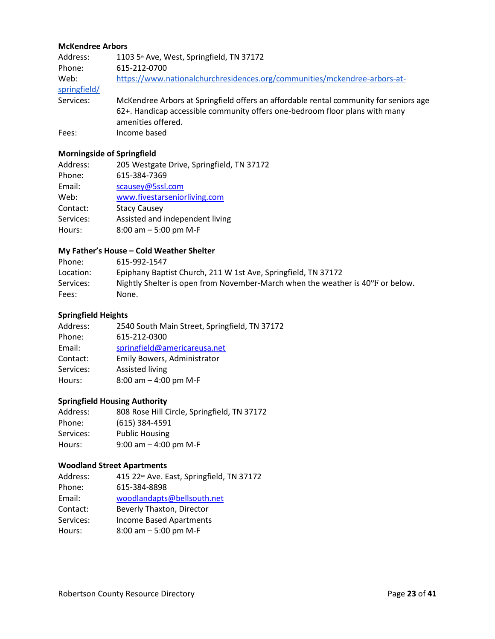#### **McKendree Arbors**

| Address:             | 1103 5 <sup>th</sup> Ave, West, Springfield, TN 37172                                                                                                                                      |
|----------------------|--------------------------------------------------------------------------------------------------------------------------------------------------------------------------------------------|
| Phone:               | 615-212-0700                                                                                                                                                                               |
| Web:<br>springfield/ | https://www.nationalchurchresidences.org/communities/mckendree-arbors-at-                                                                                                                  |
| Services:            | McKendree Arbors at Springfield offers an affordable rental community for seniors age<br>62+. Handicap accessible community offers one-bedroom floor plans with many<br>amenities offered. |
| Fees:                | Income based                                                                                                                                                                               |

### **Morningside of Springfield**

| Address:  | 205 Westgate Drive, Springfield, TN 37172 |
|-----------|-------------------------------------------|
| Phone:    | 615-384-7369                              |
| Email:    | scausey@5ssl.com                          |
| Web:      | www.fivestarseniorliving.com              |
| Contact:  | <b>Stacy Causey</b>                       |
| Services: | Assisted and independent living           |
| Hours:    | $8:00$ am $-5:00$ pm M-F                  |
|           |                                           |

### **My Father's House – Cold Weather Shelter**

| Phone:    | 615-992-1547                                                                   |
|-----------|--------------------------------------------------------------------------------|
| Location: | Epiphany Baptist Church, 211 W 1st Ave, Springfield, TN 37172                  |
| Services: | Nightly Shelter is open from November-March when the weather is 40°F or below. |
| Fees:     | None.                                                                          |

#### **Springfield Heights**

| Address:  | 2540 South Main Street, Springfield, TN 37172 |
|-----------|-----------------------------------------------|
| Phone:    | 615-212-0300                                  |
| Email:    | springfield@americareusa.net                  |
| Contact:  | Emily Bowers, Administrator                   |
| Services: | Assisted living                               |
| Hours:    | 8:00 am $-$ 4:00 pm M-F                       |
|           |                                               |

### **Springfield Housing Authority**

| Address:  | 808 Rose Hill Circle, Springfield, TN 37172 |
|-----------|---------------------------------------------|
| Phone:    | $(615)$ 384-4591                            |
| Services: | <b>Public Housing</b>                       |
| Hours:    | 9:00 am $-$ 4:00 pm M-F                     |

#### **Woodland Street Apartments**

| Address:  | 415 22 <sup>ND</sup> Ave. East, Springfield, TN 37172 |
|-----------|-------------------------------------------------------|
| Phone:    | 615-384-8898                                          |
| Email:    | woodlandapts@bellsouth.net                            |
| Contact:  | Beverly Thaxton, Director                             |
| Services: | <b>Income Based Apartments</b>                        |
| Hours:    | 8:00 am $-5:00$ pm M-F                                |
|           |                                                       |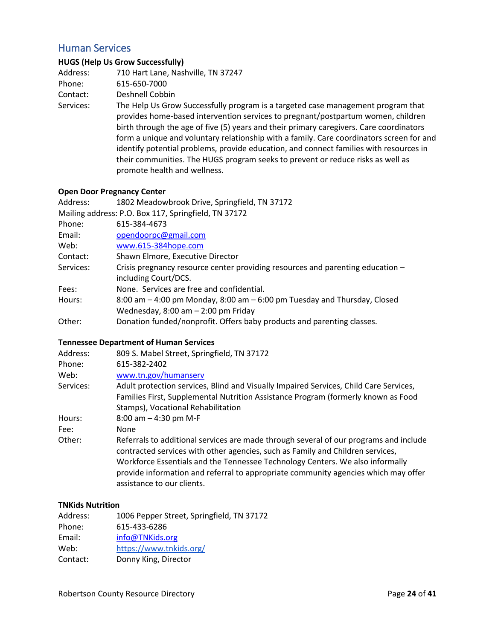### <span id="page-23-0"></span>Human Services

#### **HUGS (Help Us Grow Successfully)**

| Address:  | 710 Hart Lane, Nashville, TN 37247 |
|-----------|------------------------------------|
| Phone:    | 615-650-7000                       |
| Contact:  | Deshnell Cobbin                    |
| Services: | The Help Us Grow Successfully prog |

fully program is a targeted case management program that provides home-based intervention services to pregnant/postpartum women, children birth through the age of five (5) years and their primary caregivers. Care coordinators form a unique and voluntary relationship with a family. Care coordinators screen for and identify potential problems, provide education, and connect families with resources in their communities. The HUGS program seeks to prevent or reduce risks as well as promote health and wellness.

#### **Open Door Pregnancy Center**

| Address:  | 1802 Meadowbrook Drive, Springfield, TN 37172                                  |
|-----------|--------------------------------------------------------------------------------|
|           | Mailing address: P.O. Box 117, Springfield, TN 37172                           |
| Phone:    | 615-384-4673                                                                   |
| Email:    | opendoorpc@gmail.com                                                           |
| Web:      | www.615-384hope.com                                                            |
| Contact:  | Shawn Elmore, Executive Director                                               |
| Services: | Crisis pregnancy resource center providing resources and parenting education - |
|           | including Court/DCS.                                                           |
| Fees:     | None. Services are free and confidential.                                      |
| Hours:    | 8:00 am - 4:00 pm Monday, 8:00 am - 6:00 pm Tuesday and Thursday, Closed       |
|           | Wednesday, $8:00$ am $-2:00$ pm Friday                                         |
| Other:    | Donation funded/nonprofit. Offers baby products and parenting classes.         |

#### **Tennessee Department of Human Services**

| Address:  | 809 S. Mabel Street, Springfield, TN 37172                                                                                                                                                                                                                                                                                                                                   |
|-----------|------------------------------------------------------------------------------------------------------------------------------------------------------------------------------------------------------------------------------------------------------------------------------------------------------------------------------------------------------------------------------|
| Phone:    | 615-382-2402                                                                                                                                                                                                                                                                                                                                                                 |
| Web:      | www.tn.gov/humanserv                                                                                                                                                                                                                                                                                                                                                         |
| Services: | Adult protection services, Blind and Visually Impaired Services, Child Care Services,                                                                                                                                                                                                                                                                                        |
|           | Families First, Supplemental Nutrition Assistance Program (formerly known as Food                                                                                                                                                                                                                                                                                            |
|           | Stamps), Vocational Rehabilitation                                                                                                                                                                                                                                                                                                                                           |
| Hours:    | 8:00 am $-$ 4:30 pm M-F                                                                                                                                                                                                                                                                                                                                                      |
| Fee:      | None                                                                                                                                                                                                                                                                                                                                                                         |
| Other:    | Referrals to additional services are made through several of our programs and include<br>contracted services with other agencies, such as Family and Children services,<br>Workforce Essentials and the Tennessee Technology Centers. We also informally<br>provide information and referral to appropriate community agencies which may offer<br>assistance to our clients. |

#### **TNKids Nutrition**

| Address: | 1006 Pepper Street, Springfield, TN 37172 |
|----------|-------------------------------------------|
| Phone:   | 615-433-6286                              |
| Email:   | info@TNKids.org                           |
| Web:     | https://www.tnkids.org/                   |
| Contact: | Donny King, Director                      |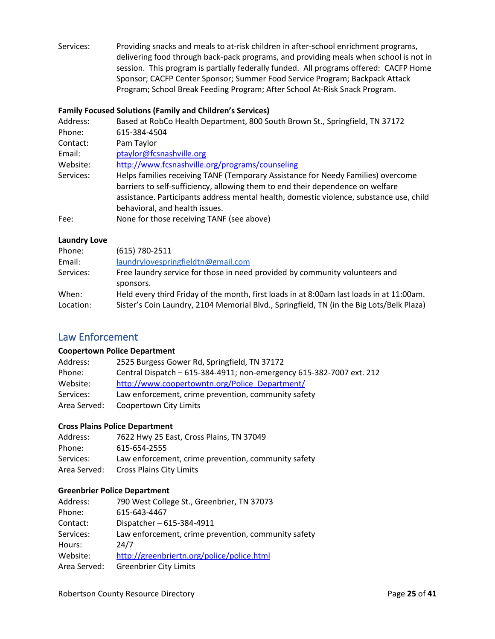Services: Providing snacks and meals to at-risk children in after-school enrichment programs, delivering food through back-pack programs, and providing meals when school is not in session. This program is partially federally funded. All programs offered: CACFP Home Sponsor; CACFP Center Sponsor; Summer Food Service Program; Backpack Attack Program; School Break Feeding Program; After School At-Risk Snack Program.

#### **Family Focused Solutions (Family and Children's Services)**

| Address:  | Based at RobCo Health Department, 800 South Brown St., Springfield, TN 37172                                                                                                                                                                                  |
|-----------|---------------------------------------------------------------------------------------------------------------------------------------------------------------------------------------------------------------------------------------------------------------|
| Phone:    | 615-384-4504                                                                                                                                                                                                                                                  |
| Contact:  | Pam Taylor                                                                                                                                                                                                                                                    |
| Email:    | ptaylor@fcsnashville.org                                                                                                                                                                                                                                      |
| Website:  | http://www.fcsnashville.org/programs/counseling                                                                                                                                                                                                               |
| Services: | Helps families receiving TANF (Temporary Assistance for Needy Families) overcome<br>barriers to self-sufficiency, allowing them to end their dependence on welfare<br>assistance. Participants address mental health, domestic violence, substance use, child |
|           | behavioral, and health issues.                                                                                                                                                                                                                                |
| Fee:      | None for those receiving TANF (see above)                                                                                                                                                                                                                     |

#### **Laundry Love**

| Phone:    | $(615) 780 - 2511$                                                                       |
|-----------|------------------------------------------------------------------------------------------|
| Email:    | laundrylovespringfieldtn@gmail.com                                                       |
| Services: | Free laundry service for those in need provided by community volunteers and<br>sponsors. |
|           |                                                                                          |
| When:     | Held every third Friday of the month, first loads in at 8:00am last loads in at 11:00am. |
| Location: | Sister's Coin Laundry, 2104 Memorial Blvd., Springfield, TN (in the Big Lots/Belk Plaza) |

### <span id="page-24-0"></span>Law Enforcement

#### **Coopertown Police Department**

| Address:     | 2525 Burgess Gower Rd, Springfield, TN 37172                         |
|--------------|----------------------------------------------------------------------|
| Phone:       | Central Dispatch - 615-384-4911; non-emergency 615-382-7007 ext. 212 |
| Website:     | http://www.coopertowntn.org/Police Department/                       |
| Services:    | Law enforcement, crime prevention, community safety                  |
| Area Served: | Coopertown City Limits                                               |

#### **Cross Plains Police Department**

| Address:     | 7622 Hwy 25 East, Cross Plains, TN 37049            |
|--------------|-----------------------------------------------------|
| Phone:       | 615-654-2555                                        |
| Services:    | Law enforcement, crime prevention, community safety |
| Area Served: | <b>Cross Plains City Limits</b>                     |

#### **Greenbrier Police Department**

| Address:     | 790 West College St., Greenbrier, TN 37073          |
|--------------|-----------------------------------------------------|
| Phone:       | 615-643-4467                                        |
| Contact:     | Dispatcher-615-384-4911                             |
| Services:    | Law enforcement, crime prevention, community safety |
| Hours:       | 24/7                                                |
| Website:     | http://greenbriertn.org/police/police.html          |
| Area Served: | <b>Greenbrier City Limits</b>                       |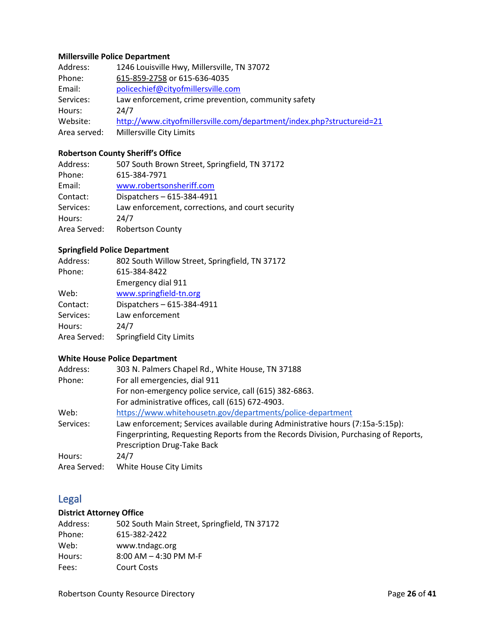### **Millersville Police Department**

| Address:     | 1246 Louisville Hwy, Millersville, TN 37072                           |
|--------------|-----------------------------------------------------------------------|
| Phone:       | 615-859-2758 or 615-636-4035                                          |
| Email:       | policechief@cityofmillersville.com                                    |
| Services:    | Law enforcement, crime prevention, community safety                   |
| Hours:       | 24/7                                                                  |
| Website:     | http://www.cityofmillersville.com/department/index.php?structureid=21 |
| Area served: | Millersville City Limits                                              |

### **Robertson County Sheriff's Office**

| Address:     | 507 South Brown Street, Springfield, TN 37172    |
|--------------|--------------------------------------------------|
| Phone:       | 615-384-7971                                     |
| Email:       | www.robertsonsheriff.com                         |
| Contact:     | Dispatchers - 615-384-4911                       |
| Services:    | Law enforcement, corrections, and court security |
| Hours:       | 24/7                                             |
| Area Served: | <b>Robertson County</b>                          |
|              |                                                  |

### **Springfield Police Department**

| Address:     | 802 South Willow Street, Springfield, TN 37172 |
|--------------|------------------------------------------------|
| Phone:       | 615-384-8422                                   |
|              | Emergency dial 911                             |
| Web:         | www.springfield-tn.org                         |
| Contact:     | Dispatchers - 615-384-4911                     |
| Services:    | Law enforcement                                |
| Hours:       | 24/7                                           |
| Area Served: | Springfield City Limits                        |
|              |                                                |

### **White House Police Department**

| Address:     | 303 N. Palmers Chapel Rd., White House, TN 37188                                     |
|--------------|--------------------------------------------------------------------------------------|
| Phone:       | For all emergencies, dial 911                                                        |
|              | For non-emergency police service, call (615) 382-6863.                               |
|              | For administrative offices, call (615) 672-4903.                                     |
| Web:         | https://www.whitehousetn.gov/departments/police-department                           |
| Services:    | Law enforcement; Services available during Administrative hours (7:15a-5:15p):       |
|              | Fingerprinting, Requesting Reports from the Records Division, Purchasing of Reports, |
|              | Prescription Drug-Take Back                                                          |
| Hours:       | 24/7                                                                                 |
| Area Served: | White House City Limits                                                              |

## <span id="page-25-0"></span>Legal

### **District Attorney Office**

| Address: | 502 South Main Street, Springfield, TN 37172 |
|----------|----------------------------------------------|
| Phone:   | 615-382-2422                                 |
| Web:     | www.tndagc.org                               |
| Hours:   | $8:00$ AM $-$ 4:30 PM M-F                    |
| Fees:    | <b>Court Costs</b>                           |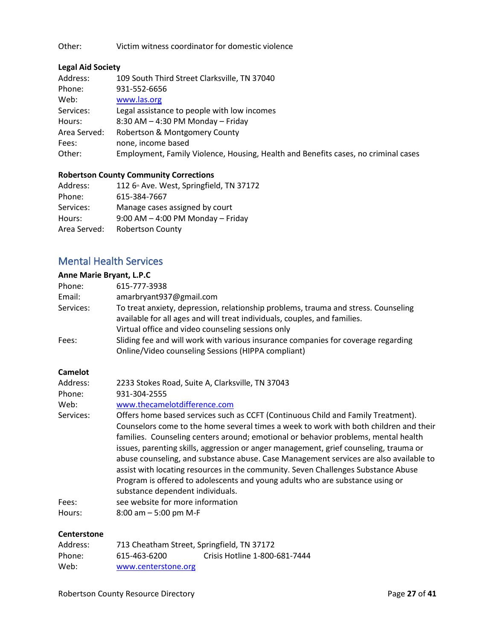Other: Victim witness coordinator for domestic violence

#### **Legal Aid Society**

| Address:     | 109 South Third Street Clarksville, TN 37040                                       |
|--------------|------------------------------------------------------------------------------------|
| Phone:       | 931-552-6656                                                                       |
| Web:         | www.las.org                                                                        |
| Services:    | Legal assistance to people with low incomes                                        |
| Hours:       | $8:30$ AM $-$ 4:30 PM Monday $-$ Friday                                            |
| Area Served: | Robertson & Montgomery County                                                      |
| Fees:        | none, income based                                                                 |
| Other:       | Employment, Family Violence, Housing, Health and Benefits cases, no criminal cases |

#### **Robertson County Community Corrections**

| Address:     | 112 6 <sup>th</sup> Ave. West, Springfield, TN 37172 |
|--------------|------------------------------------------------------|
| Phone:       | 615-384-7667                                         |
| Services:    | Manage cases assigned by court                       |
| Hours:       | $9:00$ AM $-$ 4:00 PM Monday $-$ Friday              |
| Area Served: | <b>Robertson County</b>                              |
|              |                                                      |

### <span id="page-26-0"></span>Mental Health Services

### **Anne Marie Bryant, L.P.C** Phone: 615-777-3938 Email: amarbryant937@gmail.com Services: To treat anxiety, depression, relationship problems, trauma and stress. Counseling available for all ages and will treat individuals, couples, and families. Virtual office and video counseling sessions only Fees: Sliding fee and will work with various insurance companies for coverage regarding Online/Video counseling Sessions (HIPPA compliant) **Camelot** Address: 2233 Stokes Road, Suite A, Clarksville, TN 37043 Phone: 931-304-2555 Web: [www.thecamelotdifference.com](http://www.thecamelotdifference.com/) Services: Offers home based services such as CCFT (Continuous Child and Family Treatment). Counselors come to the home several times a week to work with both children and their families. Counseling centers around; emotional or behavior problems, mental health issues, parenting skills, aggression or anger management, grief counseling, trauma or abuse counseling, and substance abuse. Case Management services are also available to assist with locating resources in the community. Seven Challenges Substance Abuse Program is offered to adolescents and young adults who are substance using or substance dependent individuals. Fees: see website for more information Hours: 8:00 am – 5:00 pm M-F

#### **Centerstone**

| Address: | 713 Cheatham Street, Springfield, TN 37172 |                               |
|----------|--------------------------------------------|-------------------------------|
| Phone:   | 615-463-6200                               | Crisis Hotline 1-800-681-7444 |
| Web:     | www.centerstone.org                        |                               |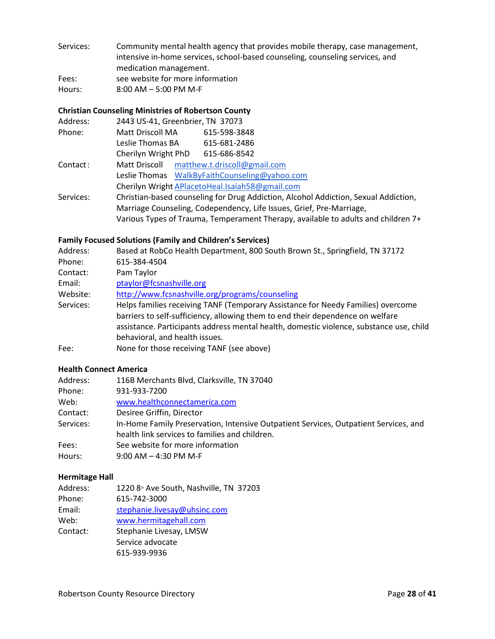Services: Community mental health agency that provides mobile therapy, case management, intensive in-home services, school-based counseling, counseling services, and medication management.

Fees: see website for more information

Hours: 8:00 AM – 5:00 PM M-F

#### **Christian Counseling Ministries of Robertson County**

| Address:  | 2443 US-41, Greenbrier, TN 37073                                                    |
|-----------|-------------------------------------------------------------------------------------|
| Phone:    | Matt Driscoll MA<br>615-598-3848                                                    |
|           | Leslie Thomas BA<br>615-681-2486                                                    |
|           | Cherilyn Wright PhD 615-686-8542                                                    |
| Contact:  | Matt Driscoll matthew.t.driscoll@gmail.com                                          |
|           | Leslie Thomas WalkByFaithCounseling@yahoo.com                                       |
|           | Cherilyn Wright APlacetoHeal.Isaiah58@gmail.com                                     |
| Services: | Christian-based counseling for Drug Addiction, Alcohol Addiction, Sexual Addiction, |
|           | Marriage Counseling, Codependency, Life Issues, Grief, Pre-Marriage,                |
|           | Various Types of Trauma, Temperament Therapy, available to adults and children 7+   |

#### **Family Focused Solutions (Family and Children's Services)**

| Address:  | Based at RobCo Health Department, 800 South Brown St., Springfield, TN 37172                                                                                       |
|-----------|--------------------------------------------------------------------------------------------------------------------------------------------------------------------|
| Phone:    | 615-384-4504                                                                                                                                                       |
| Contact:  | Pam Taylor                                                                                                                                                         |
| Email:    | ptaylor@fcsnashville.org                                                                                                                                           |
| Website:  | http://www.fcsnashville.org/programs/counseling                                                                                                                    |
| Services: | Helps families receiving TANF (Temporary Assistance for Needy Families) overcome<br>barriers to self-sufficiency, allowing them to end their dependence on welfare |
|           | assistance. Participants address mental health, domestic violence, substance use, child<br>behavioral, and health issues.                                          |
| Fee:      | None for those receiving TANF (see above)                                                                                                                          |

#### **Health Connect America**

| Address:  | 116B Merchants Blvd, Clarksville, TN 37040                                                                                             |
|-----------|----------------------------------------------------------------------------------------------------------------------------------------|
| Phone:    | 931-933-7200                                                                                                                           |
| Web:      | www.healthconnectamerica.com                                                                                                           |
| Contact:  | Desiree Griffin, Director                                                                                                              |
| Services: | In-Home Family Preservation, Intensive Outpatient Services, Outpatient Services, and<br>health link services to families and children. |
| Fees:     | See website for more information                                                                                                       |
| Hours:    | $9:00$ AM $-$ 4:30 PM M-F                                                                                                              |

#### **Hermitage Hall**

| 1220 8 <sup>th</sup> Ave South, Nashville, TN 37203 |
|-----------------------------------------------------|
| 615-742-3000                                        |
| stephanie.livesay@uhsinc.com                        |
| www.hermitagehall.com                               |
| Stephanie Livesay, LMSW                             |
| Service advocate                                    |
| 615-939-9936                                        |
|                                                     |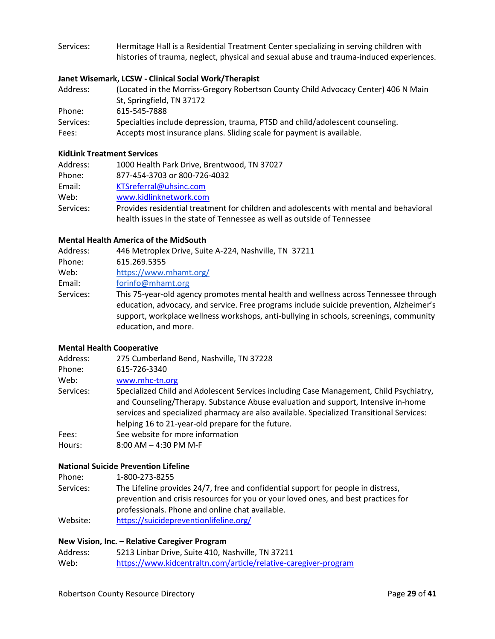Services: Hermitage Hall is a Residential Treatment Center specializing in serving children with histories of trauma, neglect, physical and sexual abuse and trauma-induced experiences.

#### **Janet Wisemark, LCSW - Clinical Social Work/Therapist**

| Address:  | (Located in the Morriss-Gregory Robertson County Child Advocacy Center) 406 N Main |
|-----------|------------------------------------------------------------------------------------|
|           | St, Springfield, TN 37172                                                          |
| Phone:    | 615-545-7888                                                                       |
| Services: | Specialties include depression, trauma, PTSD and child/adolescent counseling.      |
| Fees:     | Accepts most insurance plans. Sliding scale for payment is available.              |

#### **KidLink Treatment Services**

| Address:  | 1000 Health Park Drive, Brentwood, TN 37027                                            |
|-----------|----------------------------------------------------------------------------------------|
| Phone:    | 877-454-3703 or 800-726-4032                                                           |
| Email:    | KTSreferral@uhsinc.com                                                                 |
| Web:      | www.kidlinknetwork.com                                                                 |
| Services: | Provides residential treatment for children and adolescents with mental and behavioral |
|           | health issues in the state of Tennessee as well as outside of Tennessee                |

#### **Mental Health America of the MidSouth**

| Address:<br>Phone: | 446 Metroplex Drive, Suite A-224, Nashville, TN 37211<br>615.269.5355                                                                                                                                                                                                                             |
|--------------------|---------------------------------------------------------------------------------------------------------------------------------------------------------------------------------------------------------------------------------------------------------------------------------------------------|
| Web:               | https://www.mhamt.org/                                                                                                                                                                                                                                                                            |
| Email:             | forinfo@mhamt.org                                                                                                                                                                                                                                                                                 |
| Services:          | This 75-year-old agency promotes mental health and wellness across Tennessee through<br>education, advocacy, and service. Free programs include suicide prevention, Alzheimer's<br>support, workplace wellness workshops, anti-bullying in schools, screenings, community<br>education, and more. |

#### **Mental Health Cooperative**

| Address:  | 275 Cumberland Bend, Nashville, TN 37228                                                                                                                                                                                                                                                                                     |
|-----------|------------------------------------------------------------------------------------------------------------------------------------------------------------------------------------------------------------------------------------------------------------------------------------------------------------------------------|
| Phone:    | 615-726-3340                                                                                                                                                                                                                                                                                                                 |
| Web:      | www.mhc-tn.org                                                                                                                                                                                                                                                                                                               |
| Services: | Specialized Child and Adolescent Services including Case Management, Child Psychiatry,<br>and Counseling/Therapy. Substance Abuse evaluation and support, Intensive in-home<br>services and specialized pharmacy are also available. Specialized Transitional Services:<br>helping 16 to 21-year-old prepare for the future. |
| Fees:     | See website for more information                                                                                                                                                                                                                                                                                             |
| Hours:    | $8:00$ AM $-$ 4:30 PM M-F                                                                                                                                                                                                                                                                                                    |

#### **National Suicide Prevention Lifeline**

| Phone: | 1-800-273-8255 |
|--------|----------------|
|        |                |

| Services: | The Lifeline provides 24/7, free and confidential support for people in distress,  |
|-----------|------------------------------------------------------------------------------------|
|           | prevention and crisis resources for you or your loved ones, and best practices for |
|           | professionals. Phone and online chat available.                                    |
| Website:  | https://suicidepreventionlifeline.org/                                             |

#### **New Vision, Inc. – Relative Caregiver Program**

| Address: | 5213 Linbar Drive, Suite 410, Nashville, TN 37211               |
|----------|-----------------------------------------------------------------|
| Web:     | https://www.kidcentraltn.com/article/relative-caregiver-program |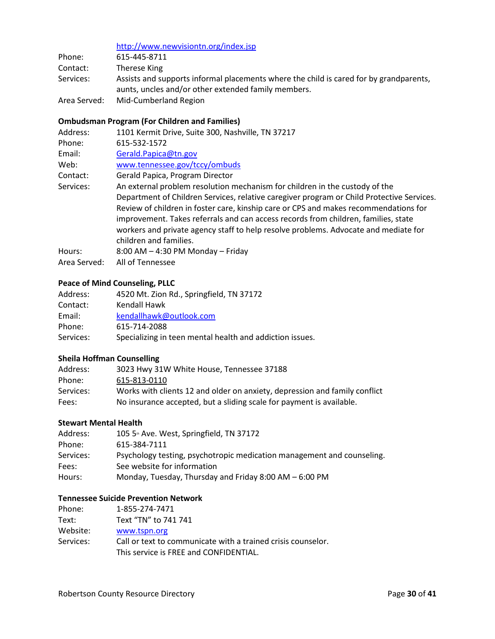|              | http://www.newvisiontn.org/index.jsp                                                                                                          |
|--------------|-----------------------------------------------------------------------------------------------------------------------------------------------|
| Phone:       | 615-445-8711                                                                                                                                  |
| Contact:     | Therese King                                                                                                                                  |
| Services:    | Assists and supports informal placements where the child is cared for by grandparents,<br>aunts, uncles and/or other extended family members. |
| Area Served: | Mid-Cumberland Region                                                                                                                         |

### **Ombudsman Program (For Children and Families)**

| 1101 Kermit Drive, Suite 300, Nashville, TN 37217                                         |
|-------------------------------------------------------------------------------------------|
| 615-532-1572                                                                              |
| Gerald.Papica@tn.gov                                                                      |
| www.tennessee.gov/tccy/ombuds                                                             |
| Gerald Papica, Program Director                                                           |
| An external problem resolution mechanism for children in the custody of the               |
| Department of Children Services, relative caregiver program or Child Protective Services. |
| Review of children in foster care, kinship care or CPS and makes recommendations for      |
| improvement. Takes referrals and can access records from children, families, state        |
| workers and private agency staff to help resolve problems. Advocate and mediate for       |
| children and families.                                                                    |
| $8:00$ AM $-$ 4:30 PM Monday $-$ Friday                                                   |
| All of Tennessee                                                                          |
|                                                                                           |

#### **Peace of Mind Counseling, PLLC**

| Address:  | 4520 Mt. Zion Rd., Springfield, TN 37172                 |
|-----------|----------------------------------------------------------|
| Contact:  | Kendall Hawk                                             |
| Email:    | kendallhawk@outlook.com                                  |
| Phone:    | 615-714-2088                                             |
| Services: | Specializing in teen mental health and addiction issues. |

### **Sheila Hoffman Counselling**

| Address:  | 3023 Hwy 31W White House, Tennessee 37188                                  |
|-----------|----------------------------------------------------------------------------|
| Phone:    | 615-813-0110                                                               |
| Services: | Works with clients 12 and older on anxiety, depression and family conflict |
| Fees:     | No insurance accepted, but a sliding scale for payment is available.       |

#### **Stewart Mental Health**

| Address:  | 105 5 <sup>th</sup> Ave. West, Springfield, TN 37172                   |
|-----------|------------------------------------------------------------------------|
| Phone:    | 615-384-7111                                                           |
| Services: | Psychology testing, psychotropic medication management and counseling. |
| Fees:     | See website for information                                            |
| Hours:    | Monday, Tuesday, Thursday and Friday 8:00 AM - 6:00 PM                 |

### **Tennessee Suicide Prevention Network**

| Phone:    | 1-855-274-7471                                               |
|-----------|--------------------------------------------------------------|
| Text:     | Text "TN" to 741 741                                         |
| Website:  | www.tspn.org                                                 |
| Services: | Call or text to communicate with a trained crisis counselor. |
|           | This service is FREE and CONFIDENTIAL.                       |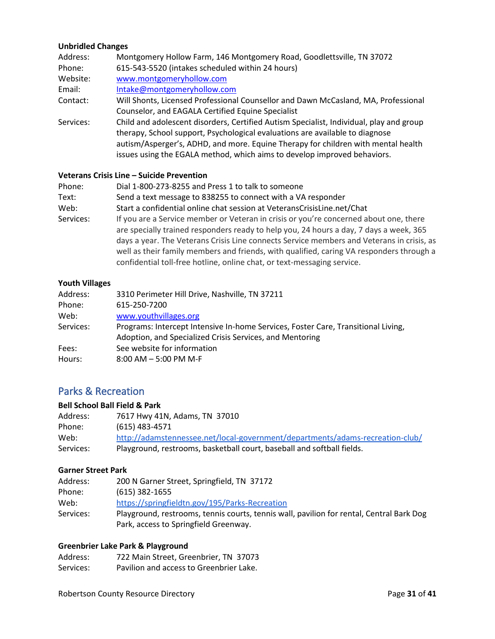### **Unbridled Changes**

| Address:  | Montgomery Hollow Farm, 146 Montgomery Road, Goodlettsville, TN 37072                                                                                                                                                                                                                                                                    |
|-----------|------------------------------------------------------------------------------------------------------------------------------------------------------------------------------------------------------------------------------------------------------------------------------------------------------------------------------------------|
| Phone:    | 615-543-5520 (intakes scheduled within 24 hours)                                                                                                                                                                                                                                                                                         |
| Website:  | www.montgomeryhollow.com                                                                                                                                                                                                                                                                                                                 |
| Email:    | Intake@montgomeryhollow.com                                                                                                                                                                                                                                                                                                              |
| Contact:  | Will Shonts, Licensed Professional Counsellor and Dawn McCasland, MA, Professional                                                                                                                                                                                                                                                       |
|           | Counselor, and EAGALA Certified Equine Specialist                                                                                                                                                                                                                                                                                        |
| Services: | Child and adolescent disorders, Certified Autism Specialist, Individual, play and group<br>therapy, School support, Psychological evaluations are available to diagnose<br>autism/Asperger's, ADHD, and more. Equine Therapy for children with mental health<br>issues using the EGALA method, which aims to develop improved behaviors. |

#### **Veterans Crisis Line – Suicide Prevention**

| Phone:    | Dial 1-800-273-8255 and Press 1 to talk to someone                                        |
|-----------|-------------------------------------------------------------------------------------------|
| Text:     | Send a text message to 838255 to connect with a VA responder                              |
| Web:      | Start a confidential online chat session at VeteransCrisisLine.net/Chat                   |
| Services: | If you are a Service member or Veteran in crisis or you're concerned about one, there     |
|           | are specially trained responders ready to help you, 24 hours a day, 7 days a week, 365    |
|           | days a year. The Veterans Crisis Line connects Service members and Veterans in crisis, as |
|           | well as their family members and friends, with qualified, caring VA responders through a  |
|           | confidential toll-free hotline, online chat, or text-messaging service.                   |

#### **Youth Villages**

| Address:  | 3310 Perimeter Hill Drive, Nashville, TN 37211                                    |
|-----------|-----------------------------------------------------------------------------------|
| Phone:    | 615-250-7200                                                                      |
| Web:      | www.youthvillages.org                                                             |
| Services: | Programs: Intercept Intensive In-home Services, Foster Care, Transitional Living, |
|           | Adoption, and Specialized Crisis Services, and Mentoring                          |
| Fees:     | See website for information                                                       |
| Hours:    | $8:00$ AM $-5:00$ PM M-F                                                          |

### Parks & Recreation

### **Bell School Ball Field & Park**

| Address:  | 7617 Hwy 41N, Adams, TN 37010                                                 |
|-----------|-------------------------------------------------------------------------------|
| Phone:    | (615) 483-4571                                                                |
| Web:      | http://adamstennessee.net/local-government/departments/adams-recreation-club/ |
| Services: | Playground, restrooms, basketball court, baseball and softball fields.        |

#### **Garner Street Park**

| Address:  | 200 N Garner Street, Springfield, TN 37172                                               |
|-----------|------------------------------------------------------------------------------------------|
| Phone:    | $(615)$ 382-1655                                                                         |
| Web:      | https://springfieldtn.gov/195/Parks-Recreation                                           |
| Services: | Playground, restrooms, tennis courts, tennis wall, pavilion for rental, Central Bark Dog |
|           | Park, access to Springfield Greenway.                                                    |

#### **Greenbrier Lake Park & Playground**

| Address:  | 722 Main Street, Greenbrier, TN 37073   |
|-----------|-----------------------------------------|
| Services: | Pavilion and access to Greenbrier Lake. |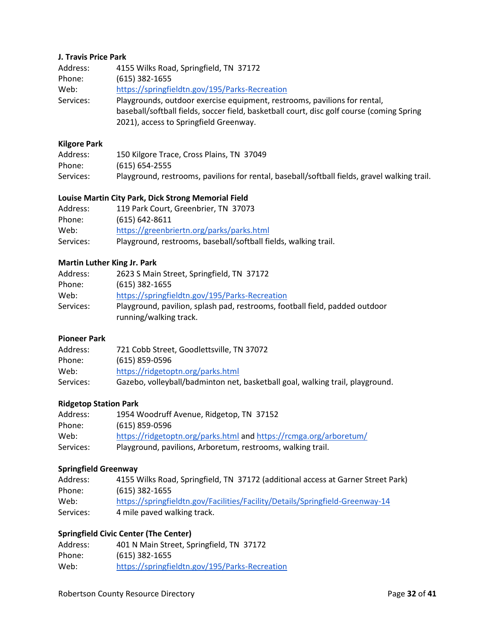#### **J. Travis Price Park**

| Address:  | 4155 Wilks Road, Springfield, TN 37172                                                                                                                                                                           |
|-----------|------------------------------------------------------------------------------------------------------------------------------------------------------------------------------------------------------------------|
| Phone:    | $(615)$ 382-1655                                                                                                                                                                                                 |
| Web:      | https://springfieldtn.gov/195/Parks-Recreation                                                                                                                                                                   |
| Services: | Playgrounds, outdoor exercise equipment, restrooms, pavilions for rental,<br>baseball/softball fields, soccer field, basketball court, disc golf course (coming Spring<br>2021), access to Springfield Greenway. |

### **Kilgore Park**

| Address:  | 150 Kilgore Trace, Cross Plains, TN 37049                                                    |
|-----------|----------------------------------------------------------------------------------------------|
| Phone:    | $(615) 654 - 2555$                                                                           |
| Services: | Playground, restrooms, pavilions for rental, baseball/softball fields, gravel walking trail. |

### **Louise Martin City Park, Dick Strong Memorial Field**

| Address:  | 119 Park Court, Greenbrier, TN 37073                            |
|-----------|-----------------------------------------------------------------|
| Phone:    | $(615) 642 - 8611$                                              |
| Web:      | https://greenbriertn.org/parks/parks.html                       |
| Services: | Playground, restrooms, baseball/softball fields, walking trail. |

### **Martin Luther King Jr. Park**

| Address:  | 2623 S Main Street, Springfield, TN 37172                                                             |
|-----------|-------------------------------------------------------------------------------------------------------|
| Phone:    | $(615)$ 382-1655                                                                                      |
| Web:      | https://springfieldtn.gov/195/Parks-Recreation                                                        |
| Services: | Playground, pavilion, splash pad, restrooms, football field, padded outdoor<br>running/walking track. |
|           |                                                                                                       |

#### **Pioneer Park**

| Address:  | 721 Cobb Street, Goodlettsville, TN 37072                                     |
|-----------|-------------------------------------------------------------------------------|
| Phone:    | $(615) 859 - 0596$                                                            |
| Web:      | https://ridgetoptn.org/parks.html                                             |
| Services: | Gazebo, volleyball/badminton net, basketball goal, walking trail, playground. |

### **Ridgetop Station Park**

| Address:  | 1954 Woodruff Avenue, Ridgetop, TN 37152                           |
|-----------|--------------------------------------------------------------------|
| Phone:    | (615) 859-0596                                                     |
| Web:      | https://ridgetoptn.org/parks.html and https://rcmga.org/arboretum/ |
| Services: | Playground, pavilions, Arboretum, restrooms, walking trail.        |

### **Springfield Greenway**

| Address:  | 4155 Wilks Road, Springfield, TN 37172 (additional access at Garner Street Park) |
|-----------|----------------------------------------------------------------------------------|
| Phone:    | (615) 382-1655                                                                   |
| Web:      | https://springfieldtn.gov/Facilities/Facility/Details/Springfield-Greenway-14    |
| Services: | 4 mile paved walking track.                                                      |

### **Springfield Civic Center (The Center)**

| Address: | 401 N Main Street, Springfield, TN 37172       |
|----------|------------------------------------------------|
| Phone:   | $(615)$ 382-1655                               |
| Web:     | https://springfieldtn.gov/195/Parks-Recreation |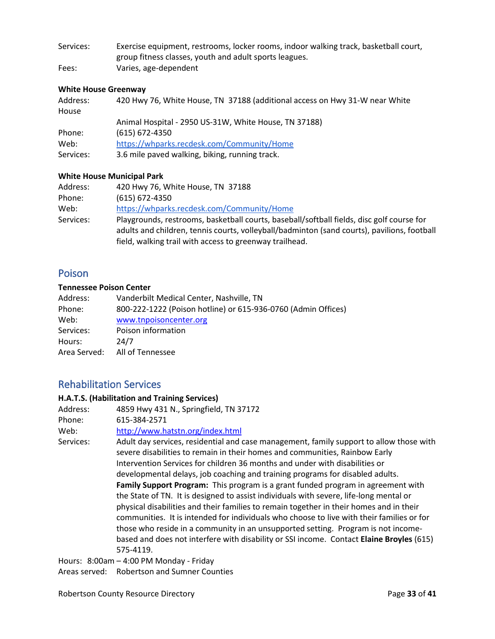Services: Exercise equipment, restrooms, locker rooms, indoor walking track, basketball court, group fitness classes, youth and adult sports leagues. Fees: Varies, age-dependent

#### **White House Greenway**

| Address:<br>House | 420 Hwy 76, White House, TN 37188 (additional access on Hwy 31-W near White |
|-------------------|-----------------------------------------------------------------------------|
|                   |                                                                             |
|                   | Animal Hospital - 2950 US-31W, White House, TN 37188)                       |
| Phone:            | $(615) 672 - 4350$                                                          |
| Web:              | https://whparks.recdesk.com/Community/Home                                  |
| Services:         | 3.6 mile paved walking, biking, running track.                              |

#### **White House Municipal Park**

| Address:  | 420 Hwy 76, White House, TN 37188                                                                                                                                                        |
|-----------|------------------------------------------------------------------------------------------------------------------------------------------------------------------------------------------|
| Phone:    | $(615) 672 - 4350$                                                                                                                                                                       |
| Web:      | https://whparks.recdesk.com/Community/Home                                                                                                                                               |
| Services: | Playgrounds, restrooms, basketball courts, baseball/softball fields, disc golf course for<br>adults and children, tennis courts, volleyball/badminton (sand courts), pavilions, football |
|           | field, walking trail with access to greenway trailhead.                                                                                                                                  |

### <span id="page-32-0"></span>Poison

#### **Tennessee Poison Center**

| Address:     | Vanderbilt Medical Center, Nashville, TN                      |
|--------------|---------------------------------------------------------------|
| Phone:       | 800-222-1222 (Poison hotline) or 615-936-0760 (Admin Offices) |
| Web:         | www.tnpoisoncenter.org                                        |
| Services:    | Poison information                                            |
| Hours:       | 24/7                                                          |
| Area Served: | All of Tennessee                                              |

### <span id="page-32-1"></span>Rehabilitation Services

#### **H.A.T.S. (Habilitation and Training Services)**

| Address:  | 4859 Hwy 431 N., Springfield, TN 37172                                                                                                                                                                                                                                                                                                                                                                                                                                       |
|-----------|------------------------------------------------------------------------------------------------------------------------------------------------------------------------------------------------------------------------------------------------------------------------------------------------------------------------------------------------------------------------------------------------------------------------------------------------------------------------------|
| Phone:    | 615-384-2571                                                                                                                                                                                                                                                                                                                                                                                                                                                                 |
| Web:      | http://www.hatstn.org/index.html                                                                                                                                                                                                                                                                                                                                                                                                                                             |
| Services: | Adult day services, residential and case management, family support to allow those with<br>severe disabilities to remain in their homes and communities, Rainbow Early<br>Intervention Services for children 36 months and under with disabilities or                                                                                                                                                                                                                        |
|           | developmental delays, job coaching and training programs for disabled adults.<br>Family Support Program: This program is a grant funded program in agreement with                                                                                                                                                                                                                                                                                                            |
|           | the State of TN. It is designed to assist individuals with severe, life-long mental or<br>physical disabilities and their families to remain together in their homes and in their<br>communities. It is intended for individuals who choose to live with their families or for<br>those who reside in a community in an unsupported setting. Program is not income-<br>based and does not interfere with disability or SSI income. Contact Elaine Broyles (615)<br>575-4119. |
|           | Hours: 8:00am - 4:00 PM Monday - Friday                                                                                                                                                                                                                                                                                                                                                                                                                                      |

Areas served: Robertson and Sumner Counties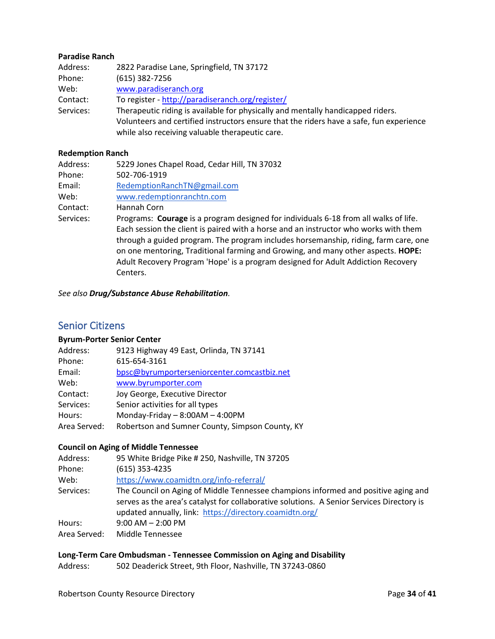#### **Paradise Ranch**

| Address:  | 2822 Paradise Lane, Springfield, TN 37172                                               |
|-----------|-----------------------------------------------------------------------------------------|
| Phone:    | $(615)$ 382-7256                                                                        |
| Web:      | www.paradiseranch.org                                                                   |
| Contact:  | To register - http://paradiseranch.org/register/                                        |
| Services: | Therapeutic riding is available for physically and mentally handicapped riders.         |
|           | Volunteers and certified instructors ensure that the riders have a safe, fun experience |
|           | while also receiving valuable therapeutic care.                                         |

#### **Redemption Ranch**

| Address:  | 5229 Jones Chapel Road, Cedar Hill, TN 37032                                                                                                                                                                                                                                                                                                                                                                                                            |
|-----------|---------------------------------------------------------------------------------------------------------------------------------------------------------------------------------------------------------------------------------------------------------------------------------------------------------------------------------------------------------------------------------------------------------------------------------------------------------|
| Phone:    | 502-706-1919                                                                                                                                                                                                                                                                                                                                                                                                                                            |
| Email:    | RedemptionRanchTN@gmail.com                                                                                                                                                                                                                                                                                                                                                                                                                             |
| Web:      | www.redemptionranchtn.com                                                                                                                                                                                                                                                                                                                                                                                                                               |
| Contact:  | Hannah Corn                                                                                                                                                                                                                                                                                                                                                                                                                                             |
| Services: | Programs: Courage is a program designed for individuals 6-18 from all walks of life.<br>Each session the client is paired with a horse and an instructor who works with them<br>through a guided program. The program includes horsemanship, riding, farm care, one<br>on one mentoring, Traditional farming and Growing, and many other aspects. HOPE:<br>Adult Recovery Program 'Hope' is a program designed for Adult Addiction Recovery<br>Centers. |

<span id="page-33-0"></span>*See also Drug/Substance Abuse Rehabilitation.* 

### Senior Citizens

#### **Byrum-Porter Senior Center**

| Address:     | 9123 Highway 49 East, Orlinda, TN 37141         |
|--------------|-------------------------------------------------|
| Phone:       | 615-654-3161                                    |
| Email:       | bpsc@byrumporterseniorcenter.comcastbiz.net     |
| Web:         | www.byrumporter.com                             |
| Contact:     | Joy George, Executive Director                  |
| Services:    | Senior activities for all types                 |
| Hours:       | Monday-Friday $-8:00AM - 4:00PM$                |
| Area Served: | Robertson and Sumner County, Simpson County, KY |

#### **Council on Aging of Middle Tennessee**

| 95 White Bridge Pike # 250, Nashville, TN 37205                                           |
|-------------------------------------------------------------------------------------------|
| $(615)$ 353-4235                                                                          |
| https://www.coamidtn.org/info-referral/                                                   |
| The Council on Aging of Middle Tennessee champions informed and positive aging and        |
| serves as the area's catalyst for collaborative solutions. A Senior Services Directory is |
| updated annually, link: https://directory.coamidtn.org/                                   |
| $9:00$ AM $- 2:00$ PM                                                                     |
| Middle Tennessee                                                                          |
|                                                                                           |

### **Long-Term Care Ombudsman - Tennessee Commission on Aging and Disability**

Address: 502 Deaderick Street, 9th Floor, Nashville, TN 37243-0860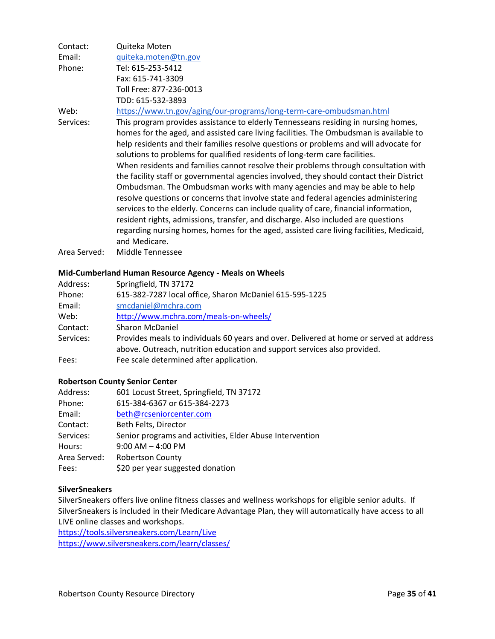| Contact:     | Quiteka Moten                                                                            |
|--------------|------------------------------------------------------------------------------------------|
| Email:       | quiteka.moten@tn.gov                                                                     |
| Phone:       | Tel: 615-253-5412                                                                        |
|              | Fax: 615-741-3309                                                                        |
|              | Toll Free: 877-236-0013                                                                  |
|              | TDD: 615-532-3893                                                                        |
| Web:         | https://www.tn.gov/aging/our-programs/long-term-care-ombudsman.html                      |
| Services:    | This program provides assistance to elderly Tennesseans residing in nursing homes,       |
|              | homes for the aged, and assisted care living facilities. The Ombudsman is available to   |
|              | help residents and their families resolve questions or problems and will advocate for    |
|              | solutions to problems for qualified residents of long-term care facilities.              |
|              | When residents and families cannot resolve their problems through consultation with      |
|              | the facility staff or governmental agencies involved, they should contact their District |
|              | Ombudsman. The Ombudsman works with many agencies and may be able to help                |
|              | resolve questions or concerns that involve state and federal agencies administering      |
|              | services to the elderly. Concerns can include quality of care, financial information,    |
|              | resident rights, admissions, transfer, and discharge. Also included are questions        |
|              | regarding nursing homes, homes for the aged, assisted care living facilities, Medicaid,  |
|              | and Medicare.                                                                            |
| Area Served: | Middle Tennessee                                                                         |

#### **Mid-Cumberland Human Resource Agency - Meals on Wheels**

| Address:  | Springfield, TN 37172                                                                   |
|-----------|-----------------------------------------------------------------------------------------|
| Phone:    | 615-382-7287 local office, Sharon McDaniel 615-595-1225                                 |
| Email:    | smcdaniel@mchra.com                                                                     |
| Web:      | http://www.mchra.com/meals-on-wheels/                                                   |
| Contact:  | <b>Sharon McDaniel</b>                                                                  |
| Services: | Provides meals to individuals 60 years and over. Delivered at home or served at address |
|           | above. Outreach, nutrition education and support services also provided.                |
| Fees:     | Fee scale determined after application.                                                 |

#### **Robertson County Senior Center**

| Address:     | 601 Locust Street, Springfield, TN 37172                 |
|--------------|----------------------------------------------------------|
| Phone:       | 615-384-6367 or 615-384-2273                             |
| Email:       | beth@rcseniorcenter.com                                  |
| Contact:     | Beth Felts, Director                                     |
| Services:    | Senior programs and activities, Elder Abuse Intervention |
| Hours:       | $9:00$ AM $-$ 4:00 PM                                    |
| Area Served: | <b>Robertson County</b>                                  |
| Fees:        | \$20 per year suggested donation                         |

#### **SilverSneakers**

SilverSneakers offers live online fitness classes and wellness workshops for eligible senior adults. If SilverSneakers is included in their Medicare Advantage Plan, they will automatically have access to all LIVE online classes and workshops.

<https://tools.silversneakers.com/Learn/Live> <https://www.silversneakers.com/learn/classes/>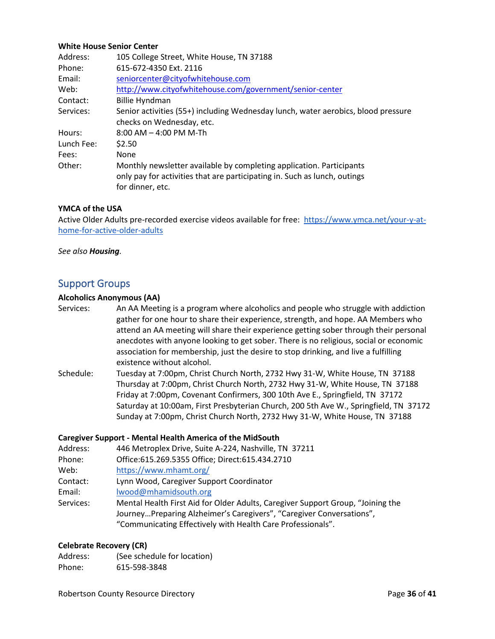#### **White House Senior Center**

| Address:   | 105 College Street, White House, TN 37188                                                                                                                             |  |
|------------|-----------------------------------------------------------------------------------------------------------------------------------------------------------------------|--|
| Phone:     | 615-672-4350 Ext. 2116                                                                                                                                                |  |
| Email:     | seniorcenter@cityofwhitehouse.com                                                                                                                                     |  |
| Web:       | http://www.cityofwhitehouse.com/government/senior-center                                                                                                              |  |
| Contact:   | <b>Billie Hyndman</b>                                                                                                                                                 |  |
| Services:  | Senior activities (55+) including Wednesday lunch, water aerobics, blood pressure                                                                                     |  |
|            | checks on Wednesday, etc.                                                                                                                                             |  |
| Hours:     | $8:00$ AM $-$ 4:00 PM M-Th                                                                                                                                            |  |
| Lunch Fee: | \$2.50                                                                                                                                                                |  |
| Fees:      | None                                                                                                                                                                  |  |
| Other:     | Monthly newsletter available by completing application. Participants<br>only pay for activities that are participating in. Such as lunch, outings<br>for dinner, etc. |  |

#### **YMCA of the USA**

Active Older Adults pre-recorded exercise videos available for free: [https://www.ymca.net/your-y-at](https://www.ymca.net/your-y-at-home-for-active-older-adults)[home-for-active-older-adults](https://www.ymca.net/your-y-at-home-for-active-older-adults)

<span id="page-35-0"></span>*See also Housing.* 

### Support Groups

#### **Alcoholics Anonymous (AA)**

Services: An AA Meeting is a program where alcoholics and people who struggle with addiction gather for one hour to share their experience, strength, and hope. AA Members who attend an AA meeting will share their experience getting sober through their personal anecdotes with anyone looking to get sober. There is no religious, social or economic association for membership, just the desire to stop drinking, and live a fulfilling existence without alcohol.

Schedule: Tuesday at 7:00pm, Christ Church North, 2732 Hwy 31-W, White House, TN 37188 Thursday at 7:00pm, Christ Church North, 2732 Hwy 31-W, White House, TN 37188 Friday at 7:00pm, Covenant Confirmers, 300 10th Ave E., Springfield, TN 37172 Saturday at 10:00am, First Presbyterian Church, 200 5th Ave W., Springfield, TN 37172 Sunday at 7:00pm, Christ Church North, 2732 Hwy 31-W, White House, TN 37188

#### **Caregiver Support - Mental Health America of the MidSouth**

| Address:  | 446 Metroplex Drive, Suite A-224, Nashville, TN 37211                           |  |  |
|-----------|---------------------------------------------------------------------------------|--|--|
| Phone:    | Office:615.269.5355 Office; Direct:615.434.2710                                 |  |  |
| Web:      | https://www.mhamt.org/                                                          |  |  |
| Contact:  | Lynn Wood, Caregiver Support Coordinator                                        |  |  |
| Email:    | lwood@mhamidsouth.org                                                           |  |  |
| Services: | Mental Health First Aid for Older Adults, Caregiver Support Group, "Joining the |  |  |
|           | JourneyPreparing Alzheimer's Caregivers", "Caregiver Conversations",            |  |  |
|           | "Communicating Effectively with Health Care Professionals".                     |  |  |

#### **Celebrate Recovery (CR)**

Address: (See schedule for location) Phone: 615-598-3848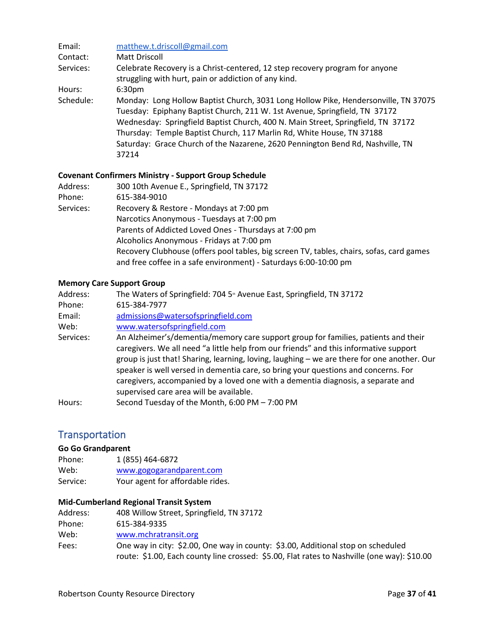| Email:    | matthew.t.driscoll@gmail.com                                                                                                                                                                                                                                                                                                                                                                                              |
|-----------|---------------------------------------------------------------------------------------------------------------------------------------------------------------------------------------------------------------------------------------------------------------------------------------------------------------------------------------------------------------------------------------------------------------------------|
| Contact:  | Matt Driscoll                                                                                                                                                                                                                                                                                                                                                                                                             |
| Services: | Celebrate Recovery is a Christ-centered, 12 step recovery program for anyone<br>struggling with hurt, pain or addiction of any kind.                                                                                                                                                                                                                                                                                      |
| Hours:    | 6:30 <sub>pm</sub>                                                                                                                                                                                                                                                                                                                                                                                                        |
| Schedule: | Monday: Long Hollow Baptist Church, 3031 Long Hollow Pike, Hendersonville, TN 37075<br>Tuesday: Epiphany Baptist Church, 211 W. 1st Avenue, Springfield, TN 37172<br>Wednesday: Springfield Baptist Church, 400 N. Main Street, Springfield, TN 37172<br>Thursday: Temple Baptist Church, 117 Marlin Rd, White House, TN 37188<br>Saturday: Grace Church of the Nazarene, 2620 Pennington Bend Rd, Nashville, TN<br>37214 |

### **Covenant Confirmers Ministry - Support Group Schedule**

| Address:  | 300 10th Avenue E., Springfield, TN 37172                                                |
|-----------|------------------------------------------------------------------------------------------|
| Phone:    | 615-384-9010                                                                             |
| Services: | Recovery & Restore - Mondays at 7:00 pm                                                  |
|           | Narcotics Anonymous - Tuesdays at 7:00 pm                                                |
|           | Parents of Addicted Loved Ones - Thursdays at 7:00 pm                                    |
|           | Alcoholics Anonymous - Fridays at 7:00 pm                                                |
|           | Recovery Clubhouse (offers pool tables, big screen TV, tables, chairs, sofas, card games |
|           | and free coffee in a safe environment) - Saturdays 6:00-10:00 pm                         |

#### **Memory Care Support Group**

| Address:  | The Waters of Springfield: 704 5 <sup>th</sup> Avenue East, Springfield, TN 37172                                                                                                                                                                                                                                                                                                                                                                                                               |
|-----------|-------------------------------------------------------------------------------------------------------------------------------------------------------------------------------------------------------------------------------------------------------------------------------------------------------------------------------------------------------------------------------------------------------------------------------------------------------------------------------------------------|
| Phone:    | 615-384-7977                                                                                                                                                                                                                                                                                                                                                                                                                                                                                    |
| Email:    | admissions@watersofspringfield.com                                                                                                                                                                                                                                                                                                                                                                                                                                                              |
| Web:      | www.watersofspringfield.com                                                                                                                                                                                                                                                                                                                                                                                                                                                                     |
| Services: | An Alzheimer's/dementia/memory care support group for families, patients and their<br>caregivers. We all need "a little help from our friends" and this informative support<br>group is just that! Sharing, learning, loving, laughing - we are there for one another. Our<br>speaker is well versed in dementia care, so bring your questions and concerns. For<br>caregivers, accompanied by a loved one with a dementia diagnosis, a separate and<br>supervised care area will be available. |
| Hours:    | Second Tuesday of the Month, 6:00 PM - 7:00 PM                                                                                                                                                                                                                                                                                                                                                                                                                                                  |

### <span id="page-36-0"></span>**Transportation**

### **Go Go Grandparent**

| Phone:   | 1 (855) 464-6872                 |
|----------|----------------------------------|
| Web:     | www.gogogarandparent.com         |
| Service: | Your agent for affordable rides. |

#### **Mid-Cumberland Regional Transit System**

| Address: | 408 Willow Street, Springfield, TN 37172                                                                                                                                        |
|----------|---------------------------------------------------------------------------------------------------------------------------------------------------------------------------------|
| Phone:   | 615-384-9335                                                                                                                                                                    |
| Web:     | www.mchratransit.org                                                                                                                                                            |
| Fees:    | One way in city: \$2.00, One way in county: \$3.00, Additional stop on scheduled<br>route: \$1.00, Each county line crossed: \$5.00, Flat rates to Nashville (one way): \$10.00 |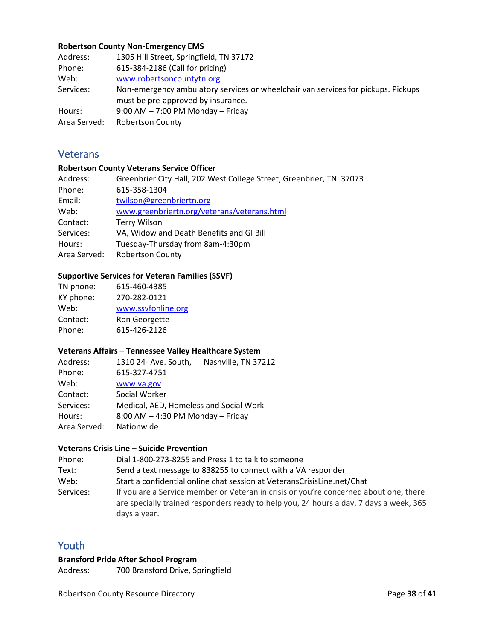#### **Robertson County Non-Emergency EMS**

| Address:     | 1305 Hill Street, Springfield, TN 37172                                           |
|--------------|-----------------------------------------------------------------------------------|
| Phone:       | 615-384-2186 (Call for pricing)                                                   |
| Web:         | www.robertsoncountytn.org                                                         |
| Services:    | Non-emergency ambulatory services or wheelchair van services for pickups. Pickups |
|              | must be pre-approved by insurance.                                                |
| Hours:       | $9:00$ AM $- 7:00$ PM Monday $-$ Friday                                           |
| Area Served: | <b>Robertson County</b>                                                           |

### <span id="page-37-0"></span>**Veterans**

#### **Robertson County Veterans Service Officer**

| Greenbrier City Hall, 202 West College Street, Greenbrier, TN 37073 |
|---------------------------------------------------------------------|
| 615-358-1304                                                        |
| twilson@greenbriertn.org                                            |
| www.greenbriertn.org/veterans/veterans.html                         |
| <b>Terry Wilson</b>                                                 |
| VA, Widow and Death Benefits and GI Bill                            |
| Tuesday-Thursday from 8am-4:30pm                                    |
| <b>Robertson County</b>                                             |
|                                                                     |

### **Supportive Services for Veteran Families (SSVF)**

| TN phone: | 615-460-4385       |
|-----------|--------------------|
| KY phone: | 270-282-0121       |
| Web:      | www.ssvfonline.org |
| Contact:  | Ron Georgette      |
| Phone:    | 615-426-2126       |

#### **Veterans Affairs – Tennessee Valley Healthcare System**

| Address:     | 1310 24 <sup>th</sup> Ave. South,       | Nashville, TN 37212 |  |
|--------------|-----------------------------------------|---------------------|--|
| Phone:       | 615-327-4751                            |                     |  |
| Web:         | www.va.gov                              |                     |  |
| Contact:     | Social Worker                           |                     |  |
| Services:    | Medical, AED, Homeless and Social Work  |                     |  |
| Hours:       | $8:00$ AM $-$ 4:30 PM Monday $-$ Friday |                     |  |
| Area Served: | Nationwide                              |                     |  |

#### **Veterans Crisis Line – Suicide Prevention**

| Phone:    | Dial 1-800-273-8255 and Press 1 to talk to someone                                                                                                                                              |
|-----------|-------------------------------------------------------------------------------------------------------------------------------------------------------------------------------------------------|
| Text:     | Send a text message to 838255 to connect with a VA responder                                                                                                                                    |
| Web:      | Start a confidential online chat session at VeteransCrisisLine.net/Chat                                                                                                                         |
| Services: | If you are a Service member or Veteran in crisis or you're concerned about one, there<br>are specially trained responders ready to help you, 24 hours a day, 7 days a week, 365<br>days a year. |

### <span id="page-37-1"></span>Youth

### **Bransford Pride After School Program**

Address: 700 Bransford Drive, Springfield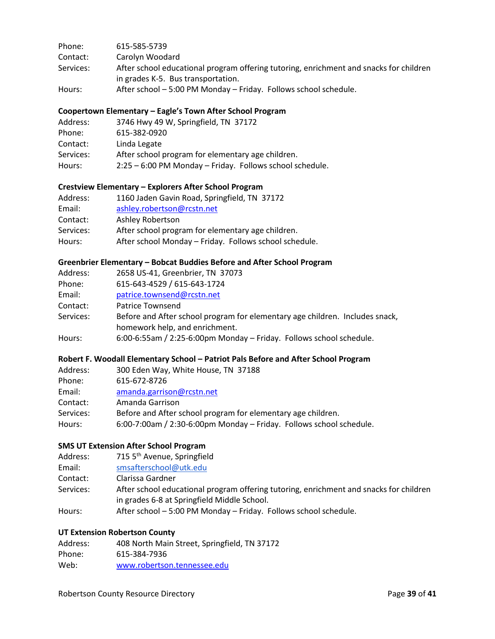| Phone:    | 615-585-5739                                                                           |
|-----------|----------------------------------------------------------------------------------------|
| Contact:  | Carolyn Woodard                                                                        |
| Services: | After school educational program offering tutoring, enrichment and snacks for children |
|           | in grades K-5. Bus transportation.                                                     |
| Hours:    | After school – 5:00 PM Monday – Friday. Follows school schedule.                       |

#### **Coopertown Elementary – Eagle's Town After School Program**

| Address:  | 3746 Hwy 49 W, Springfield, TN 37172                     |
|-----------|----------------------------------------------------------|
| Phone:    | 615-382-0920                                             |
| Contact:  | Linda Legate                                             |
| Services: | After school program for elementary age children.        |
| Hours:    | 2:25 – 6:00 PM Monday – Friday. Follows school schedule. |
|           |                                                          |

### **Crestview Elementary – Explorers After School Program**

| Address:  | 1160 Jaden Gavin Road, Springfield, TN 37172           |
|-----------|--------------------------------------------------------|
| Email:    | ashley.robertson@rcstn.net                             |
| Contact:  | Ashley Robertson                                       |
| Services: | After school program for elementary age children.      |
| Hours:    | After school Monday - Friday. Follows school schedule. |

#### **Greenbrier Elementary – Bobcat Buddies Before and After School Program**

| Address:  | 2658 US-41, Greenbrier, TN 37073                                             |
|-----------|------------------------------------------------------------------------------|
| Phone:    | 615-643-4529 / 615-643-1724                                                  |
| Email:    | patrice.townsend@rcstn.net                                                   |
| Contact:  | Patrice Townsend                                                             |
| Services: | Before and After school program for elementary age children. Includes snack, |
|           | homework help, and enrichment.                                               |
| Hours:    | 6:00-6:55am / 2:25-6:00pm Monday - Friday. Follows school schedule.          |
|           |                                                                              |

### **Robert F. Woodall Elementary School – Patriot Pals Before and After School Program**

| Address:  | 300 Eden Way, White House, TN 37188                                 |
|-----------|---------------------------------------------------------------------|
| Phone:    | 615-672-8726                                                        |
| Email:    | amanda.garrison@rcstn.net                                           |
| Contact:  | Amanda Garrison                                                     |
| Services: | Before and After school program for elementary age children.        |
| Hours:    | 6:00-7:00am / 2:30-6:00pm Monday – Friday. Follows school schedule. |

#### **SMS UT Extension After School Program**

| Address:  | 715 5 <sup>th</sup> Avenue, Springfield                                                                                               |
|-----------|---------------------------------------------------------------------------------------------------------------------------------------|
| Email:    | smsafterschool@utk.edu                                                                                                                |
| Contact:  | Clarissa Gardner                                                                                                                      |
| Services: | After school educational program offering tutoring, enrichment and snacks for children<br>in grades 6-8 at Springfield Middle School. |
| Hours:    | After school - 5:00 PM Monday - Friday. Follows school schedule.                                                                      |

#### **UT Extension Robertson County**

| Address: | 408 North Main Street, Springfield, TN 37172 |
|----------|----------------------------------------------|
| Phone:   | 615-384-7936                                 |
| Web:     | www.robertson.tennessee.edu                  |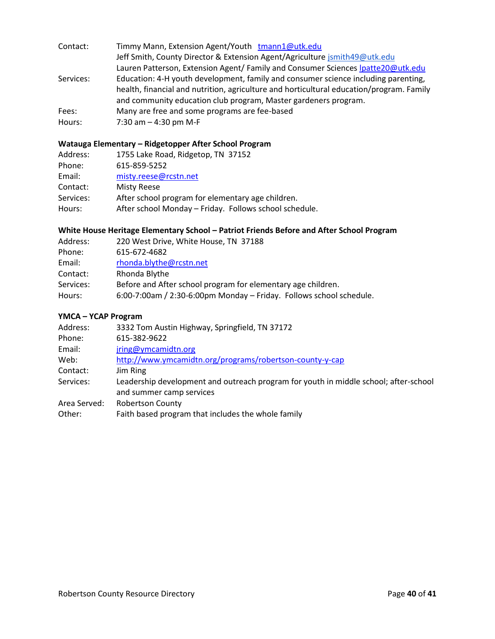| Contact:  | Timmy Mann, Extension Agent/Youth tmann1@utk.edu                                         |
|-----------|------------------------------------------------------------------------------------------|
|           | Jeff Smith, County Director & Extension Agent/Agriculture jsmith49@utk.edu               |
|           | Lauren Patterson, Extension Agent/ Family and Consumer Sciences Ipatte20@utk.edu         |
| Services: | Education: 4-H youth development, family and consumer science including parenting,       |
|           | health, financial and nutrition, agriculture and horticultural education/program. Family |
|           | and community education club program, Master gardeners program.                          |
| Fees:     | Many are free and some programs are fee-based                                            |
| Hours:    | 7:30 am $-$ 4:30 pm M-F                                                                  |

### **Watauga Elementary – Ridgetopper After School Program**

| Address:  | 1755 Lake Road, Ridgetop, TN 37152                     |
|-----------|--------------------------------------------------------|
| Phone:    | 615-859-5252                                           |
| Email:    | misty.reese@rcstn.net                                  |
| Contact:  | <b>Misty Reese</b>                                     |
| Services: | After school program for elementary age children.      |
| Hours:    | After school Monday - Friday. Follows school schedule. |
|           |                                                        |

### **White House Heritage Elementary School – Patriot Friends Before and After School Program**

| Address:  | 220 West Drive, White House, TN 37188                               |
|-----------|---------------------------------------------------------------------|
| Phone:    | 615-672-4682                                                        |
| Email:    | rhonda.blythe@rcstn.net                                             |
| Contact:  | Rhonda Blythe                                                       |
| Services: | Before and After school program for elementary age children.        |
| Hours:    | 6:00-7:00am / 2:30-6:00pm Monday - Friday. Follows school schedule. |

### **YMCA – YCAP Program**

| Address:     | 3332 Tom Austin Highway, Springfield, TN 37172                                                                   |
|--------------|------------------------------------------------------------------------------------------------------------------|
| Phone:       | 615-382-9622                                                                                                     |
| Email:       | jring@ymcamidtn.org                                                                                              |
| Web:         | http://www.ymcamidtn.org/programs/robertson-county-y-cap                                                         |
| Contact:     | Jim Ring                                                                                                         |
| Services:    | Leadership development and outreach program for youth in middle school; after-school<br>and summer camp services |
| Area Served: | <b>Robertson County</b>                                                                                          |
| Other:       | Faith based program that includes the whole family                                                               |